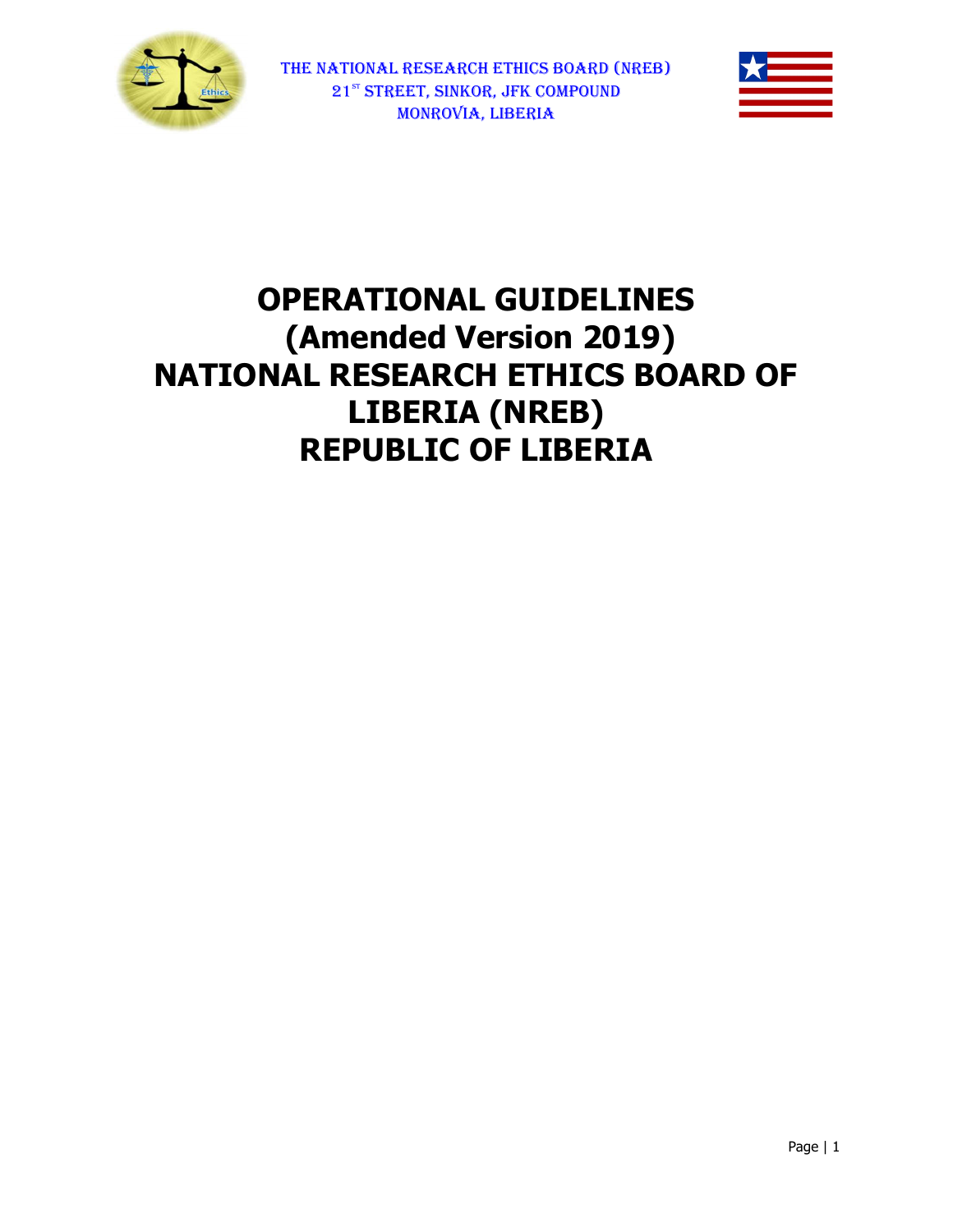



# OPERATIONAL OPERATIONAL GUIDELINES (Amended Version 2019) NATIONAL RESEARCH ETHICS BOARD OF LIBERIA (NREB) REPUBLIC OF LIBERIA REPUBLIC OF (Amended Version 2019)<br>AL RESEARCH ETHICS BOARD OF<br>LIBERIA (NREB)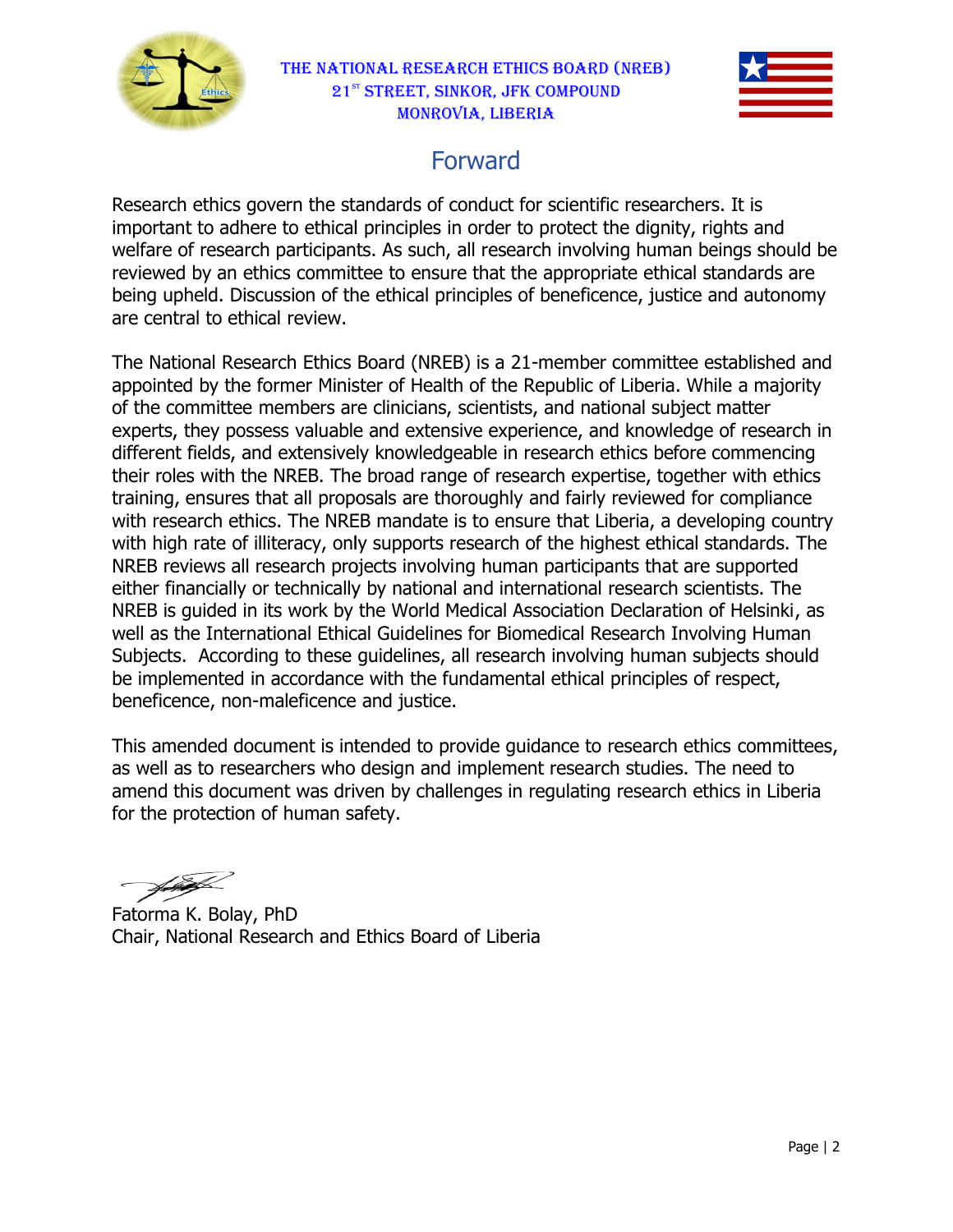



# Forward

Research ethics govern the standards of conduct for scientific researchers. It is important to adhere to ethical principles in order to protect the dignity, rights and welfare of research participants. As such, all research involving human beings should be reviewed by an ethics committee to ensure that the appropriate ethical standards are being upheld. Discussion of the ethical principles of beneficence, justice and autonomy are central to ethical review. Research ethics govern the standards of conduct for scientific researchers. It is<br>important to adhere to ethical principles in order to protect the dignity, rights and<br>welfare of research participants. As such, all researc

The National Research Ethics Board (NREB) is a 21-member committee established and The National Research Ethics Board (NREB) is a 21-member committee established anc<br>appointed by the former Minister of Health of the Republic of Liberia. While a majority of the committee members are clinicians, scientists, and national subject matter experts, they possess valuable and extensive experience, and knowledge of research in different fields, and extensively knowledgeable in research ethics before commencing<br>their roles with the NREB. The broad range of research expertise, together with ethics<br>training, ensures that all proposals are thoroughl their roles with the NREB. The broad range of research expertise, together with ethics training, ensures that all proposals are thoroughly and fairly reviewed for  $\epsilon$ with research ethics. The NREB mandate is to ensure that Liberia, a developing country with high rate of illiteracy, only supports research of the highest ethical standards. The with high rate of illiteracy, only supports research of the highest ethical standards. T<br>NREB reviews all research projects involving human participants that are supported either financially or technically by national and international research scientists. The NREB is guided in its work by the World Medical Association Declaration of Helsinki well as the International Ethical Guidelines for Biomedical Research Involving Human Subjects. According to these guidelines, all research involving human subjects should be implemented in accordance with the fundamental ethical principles of respect, beneficence, non-maleficence and justice. well as the International Ethical Guidelines for Biomedical Research Involving Human<br>Subjects. According to these guidelines, all research involving human subjects should<br>be implemented in accordance with the fundamental e Subjects. According to these guidelines, all research involving human subjects shou<br>be implemented in accordance with the fundamental ethical principles of respect,<br>beneficence, non-maleficence and justice.<br>This amended do either financially or technically by national and international research scientists. The<br>NREB is guided in its work by the World Medical Association Declaration of Helsinki, a:<br>well as the International Ethical Guidelines Helsinki, as

amend this document was driven by challenges in regulating research ethics in Liberia<br>for the protection of human safety.<br>Fatorma K. Bolay, PhD<br>Chair, National Research and Ethics Board of Liberia for the protection of human safety.

Fatorma K. Bolay, PhD Chair, National Research and Ethics Board of Liberia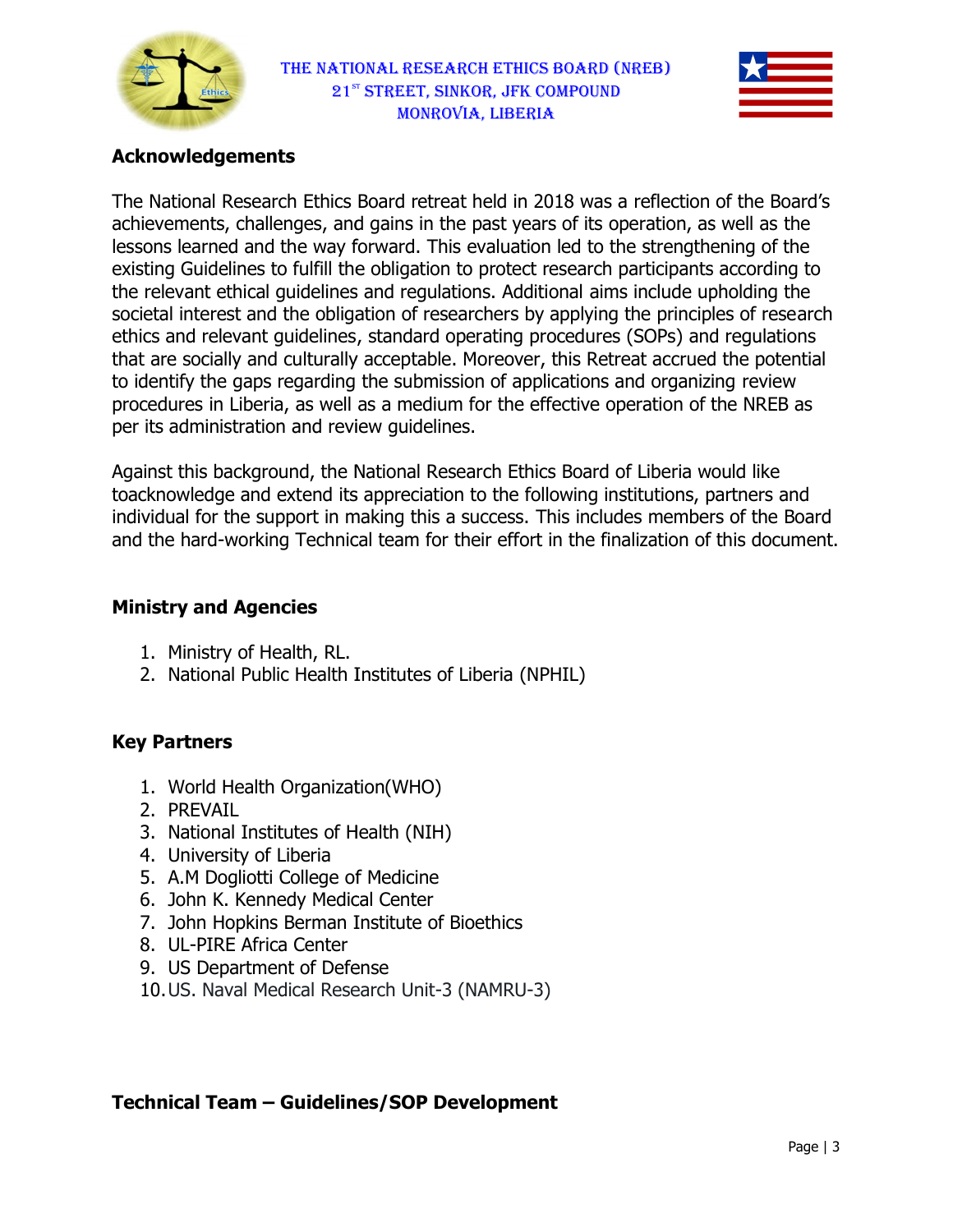



## Acknowledgements

The National Research Ethics Board retreat held in 2018 was a reflection of the Board's achievements, challenges, and gains in the past years of its operation, as well as the lessons learned and the way forward. This evaluation led to the strengthening of the existing Guidelines to fulfill the obligation to protect research participants according to the relevant ethical guidelines and regulations. Additional aims include upholding the lessons learned and the way forward. This evaluation led to the strengthening of the<br>existing Guidelines to fulfill the obligation to protect research participants according to<br>the relevant ethical guidelines and regulatio societal interest and the obligation of researchers by applying the principles of researc<br>ethics and relevant guidelines, standard operating procedures (SOPs) and regulations that are socially and culturally acceptable. Moreover, this Retreat accrued the potential to identify the gaps regarding the submission of applications and organizing review procedures in Liberia, as well as a medium for the effective operation of the NREB as per its administration and review guidelines. e socially and culturally acceptable. Moreover, this Retreat accrued the potentiatify the gaps regarding the submission of applications and organizing review ures in Liberia, as well as a medium for the effective operation

Against this background, the National Research Ethics Board of Liberia would like toacknowledge and extend its appreciation to the individual for the support in making this a success. This includes members of the Board and the hard-working Technical team for their effort in the finalization of this document.<br> **Ministry and Agencies**<br>
1. Ministry of Health, RL.<br>
2. National Public Health Institutes of Liberia (NPHIL)

## Ministry and Agencies

- 1. Ministry of Health, RL.
- 2. National Public Health Institutes of Liberia

## Key Partners

- 1. World Health Organization(WHO)
- 2. PREVAIL
- 1. World Health Organization(WHO)<br>2. PREVAIL<br>3. National Institutes of Health (NIH)
- 4. University of Liberia
- 5. A.M Dogliotti College of Medicine
- 6. John K. Kennedy Medical Center
- 6. John K. Kennedy Medical Center<br>7. John Hopkins Berman Institute of Bioethics
- 8. UL-PIRE Africa Center
- 9. US Department of Defense
- 9. US Department of Defense<br>10. US. Naval Medical Research Unit-3 (NAMRU-3)

#### Technical Team – Guidelines/SOP Development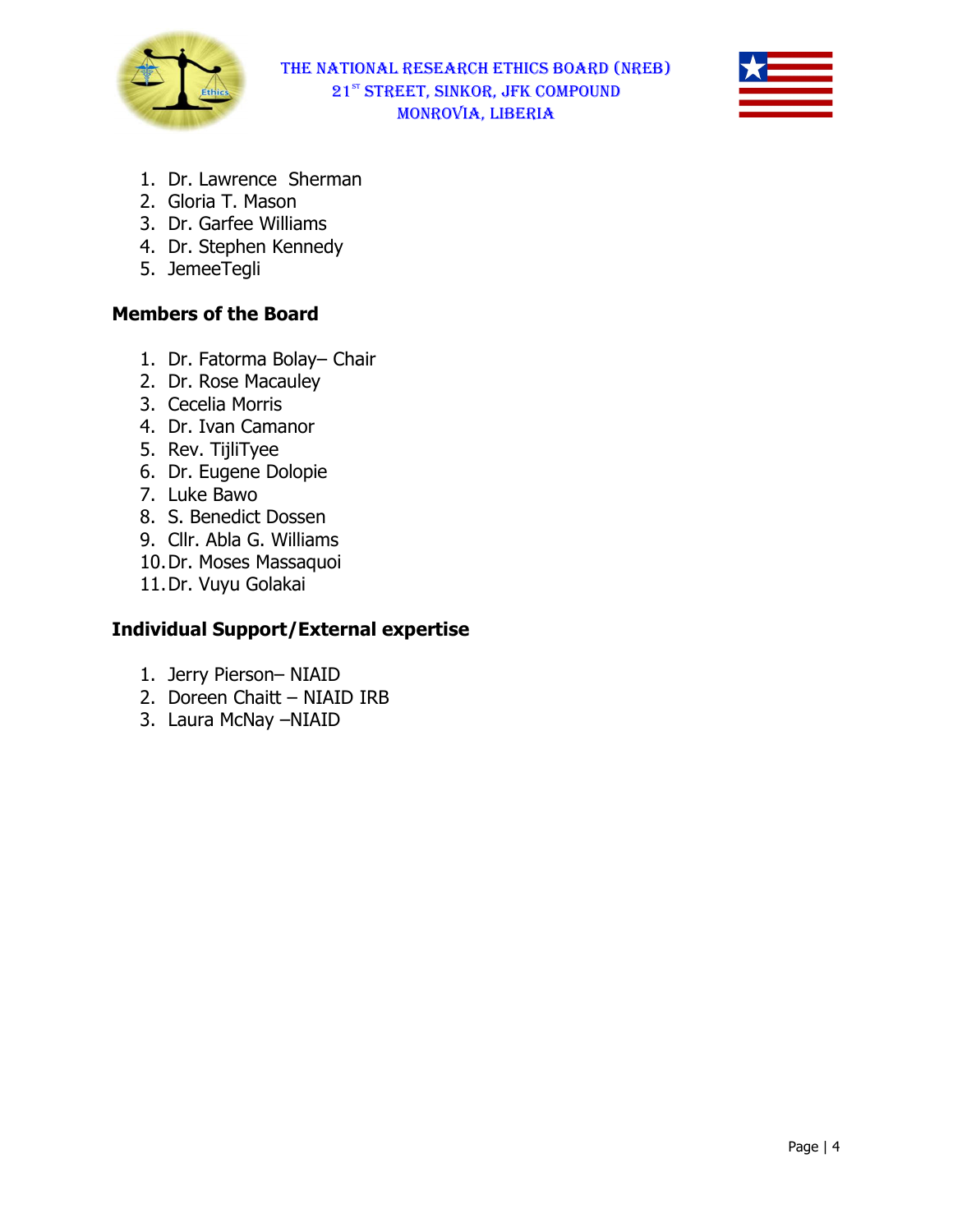



- 1. Dr. Lawrence Sherman
- 2. Gloria T. Mason
- 3. Dr. Garfee Williams
- 4. Dr. Stephen Kennedy
- 5. JemeeTegli

## Members of the Board

- 1. Dr. Fatorma Bolay– Chair Chair
- 2. Dr. Rose Macauley
- 3. Cecelia Morris
- 4. Dr. Ivan Camanor
- 5. Rev. TijliTyee
- 6. Dr. Eugene Dolopie
- 7. Luke Bawo
- 8. S. Benedict Dossen
- 9. Cllr. Abla G. Williams
- 10.Dr. Moses Massaquoi
- 11.Dr. Vuyu Golakai

## Individual Support/External expertise

- 1. Jerry Pierson– NIAID
- 2. Doreen Chaitt NIAID IRB
- 3. Laura McNay –NIAID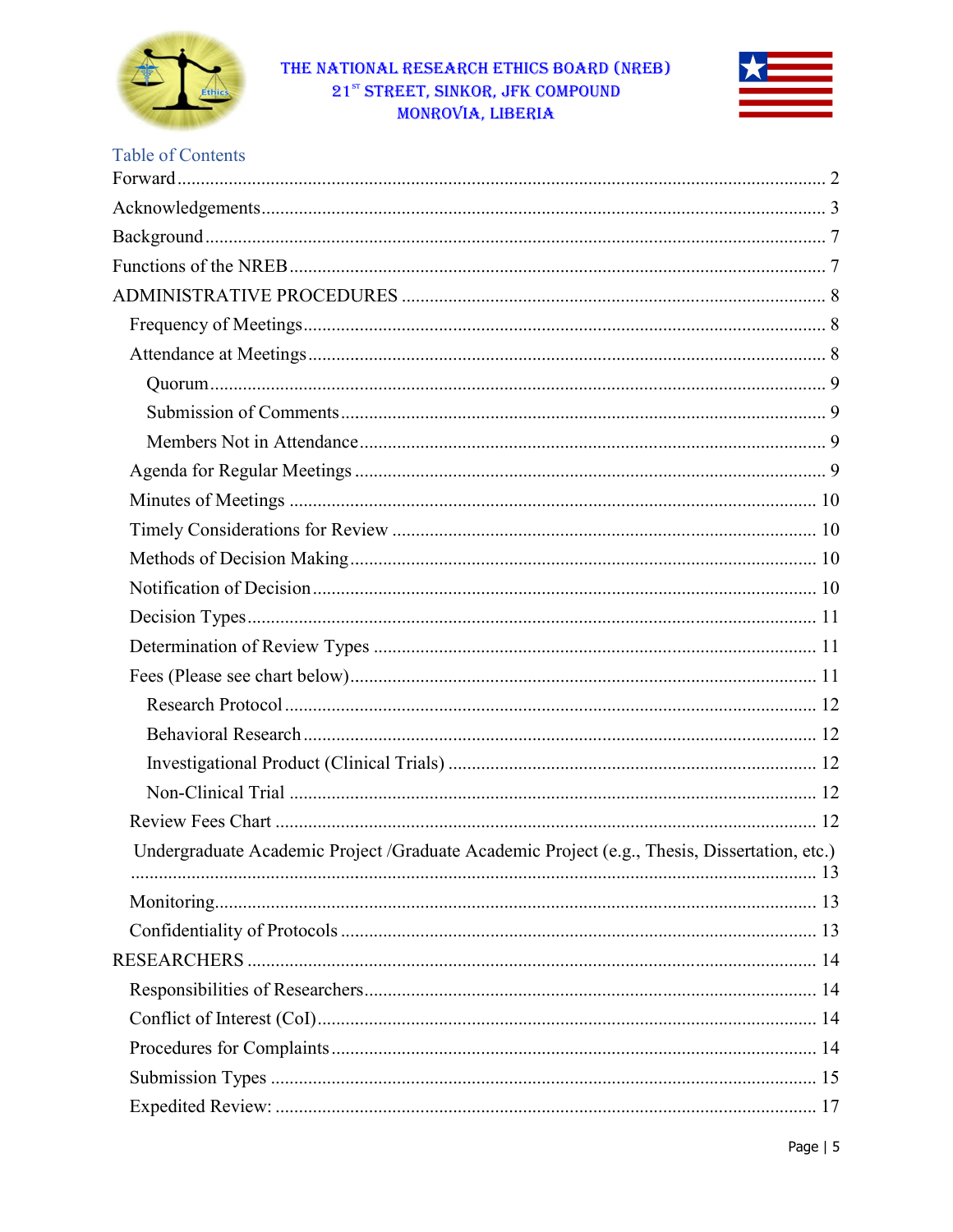



## **Table of Contents**

| Undergraduate Academic Project /Graduate Academic Project (e.g., Thesis, Dissertation, etc.) |  |
|----------------------------------------------------------------------------------------------|--|
|                                                                                              |  |
|                                                                                              |  |
|                                                                                              |  |
|                                                                                              |  |
|                                                                                              |  |
|                                                                                              |  |
|                                                                                              |  |
|                                                                                              |  |
|                                                                                              |  |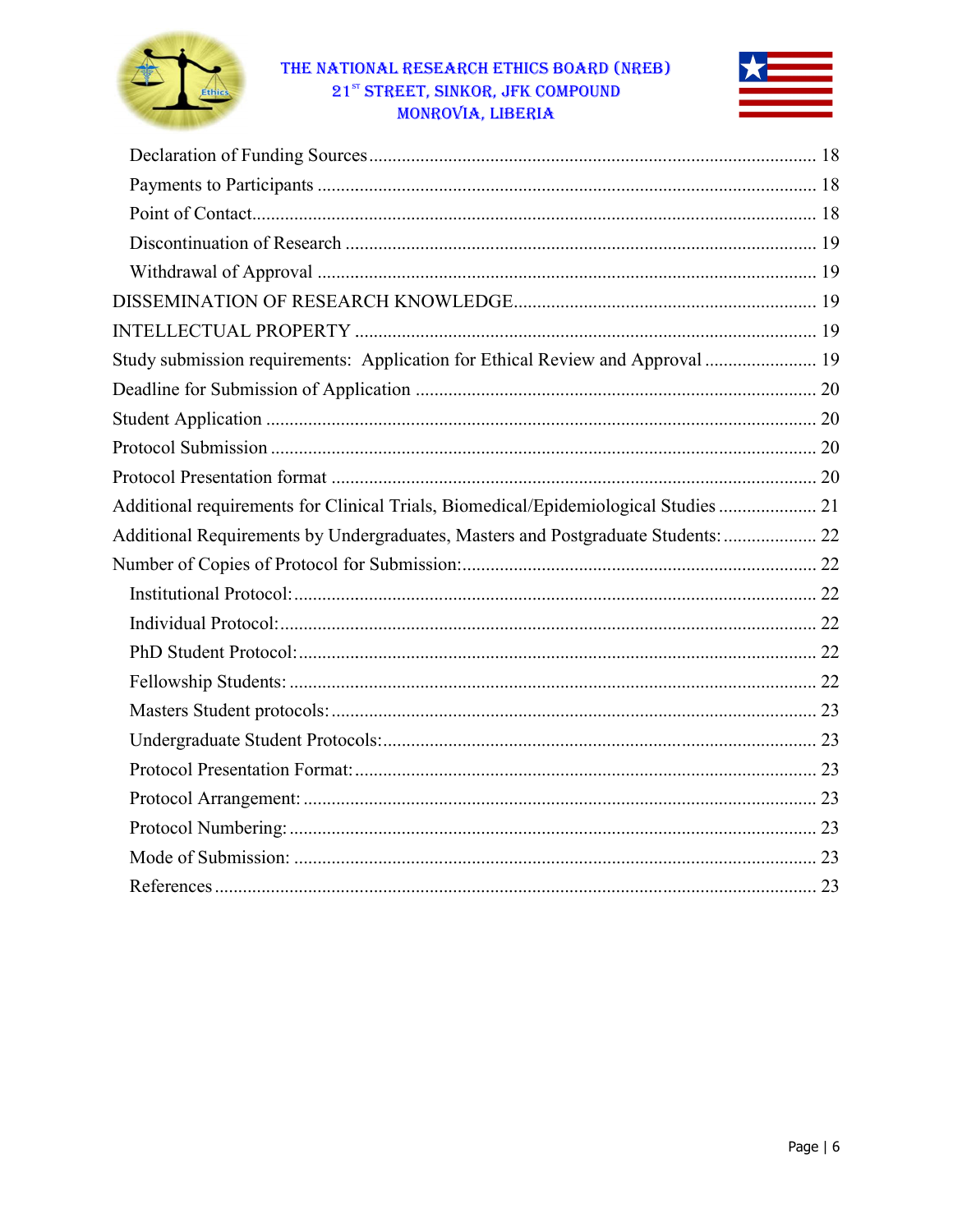



| Study submission requirements: Application for Ethical Review and Approval  19      |
|-------------------------------------------------------------------------------------|
|                                                                                     |
|                                                                                     |
|                                                                                     |
|                                                                                     |
| Additional requirements for Clinical Trials, Biomedical/Epidemiological Studies  21 |
| Additional Requirements by Undergraduates, Masters and Postgraduate Students:  22   |
|                                                                                     |
|                                                                                     |
|                                                                                     |
|                                                                                     |
|                                                                                     |
|                                                                                     |
|                                                                                     |
|                                                                                     |
|                                                                                     |
|                                                                                     |
|                                                                                     |
|                                                                                     |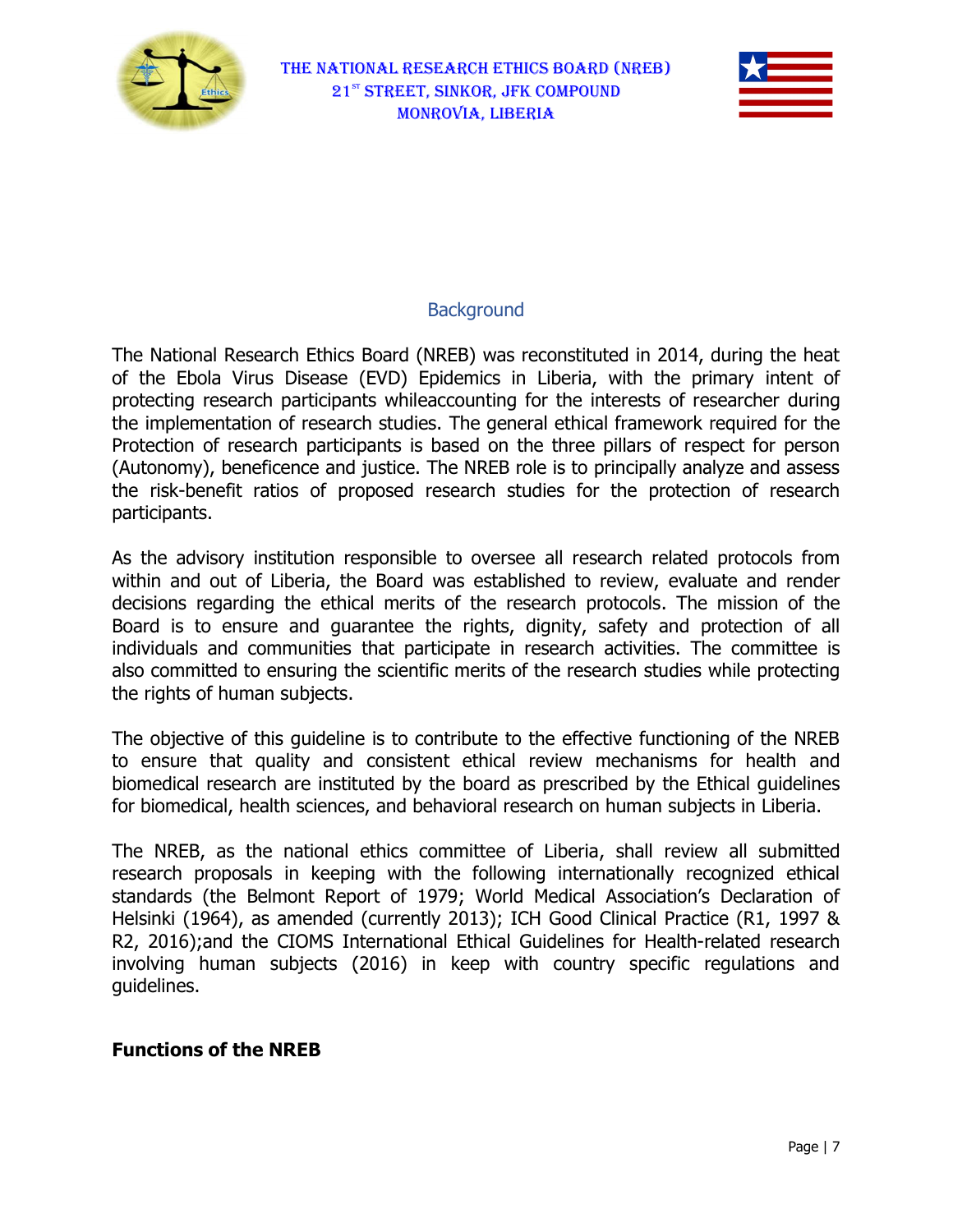



## **Background**

The National Research Ethics Board (NREB) was reconstituted in 2014, during the heat of the Ebola Virus Disease (EVD) Epidemics in Liberia, with the primary intent of protecting research participants whileaccounting for the interests of researcher during the implementation of research studies. The general ethical framework required for the Protection of research participants is based on the three pillars of respect for person (Autonomy), beneficence and justice. The NREB role is to principally analyze and assess the risk-benefit ratios of proposed research studies for the protection of research participants. ee pillars of respect for person<br>to principally analyze and assess<br>for the protection of research<br>research related protocols from<br>to review, evaluate and render

As the advisory institution responsible to oversee all research related protocols from within and out of Liberia, the Board was established to review, evaluate and decisions regarding the ethical merits of the research protocols protocols. The mission of the Board is to ensure and guarantee the rights, dignity, safety and protection of all individuals and communities that participate in research activities. The committee is also committed to ensuring the scientific merits of the research studies while the rights of human subjects. research protocols. The mission of the<br>s, dignity, safety and protection of all<br>in research activities. The committee is<br>s of the research studies while protecting

The objective of this guideline is to contribute to the effective functioning of the NREB The objective of this guideline is to contribute to the effective functioning of the NREB<br>to ensure that quality and consistent ethical review mechanisms for health and biomedical research are instituted by the board as prescribed by the Ethical guidelines for biomedical, health sciences, and behavioral research on human subjects in Liberia.

The NREB, as the national ethics committee of Liberia, shall review all submitted research proposals in keeping with the following internationally recognized ethical standards (the Belmont Report of 1979; World Medical Association's Declaration of Helsinki (1964), as amended (currently 2013) , 2013); ICH Good Clinical Practice (R1, 1997 & R2, 2016);and the CIOMS International Ethical Guidelines for Health-related research involving human subjects ( (2016) in keep with country specific regulations and guidelines. consistent ethical review mechanisms for health and<br>uted by the board as prescribed by the Ethical guidelines<br>s, and behavioral research on human subjects in Liberia.<br>ethics committee of Liberia, shall review all submitted

#### Functions of the NREB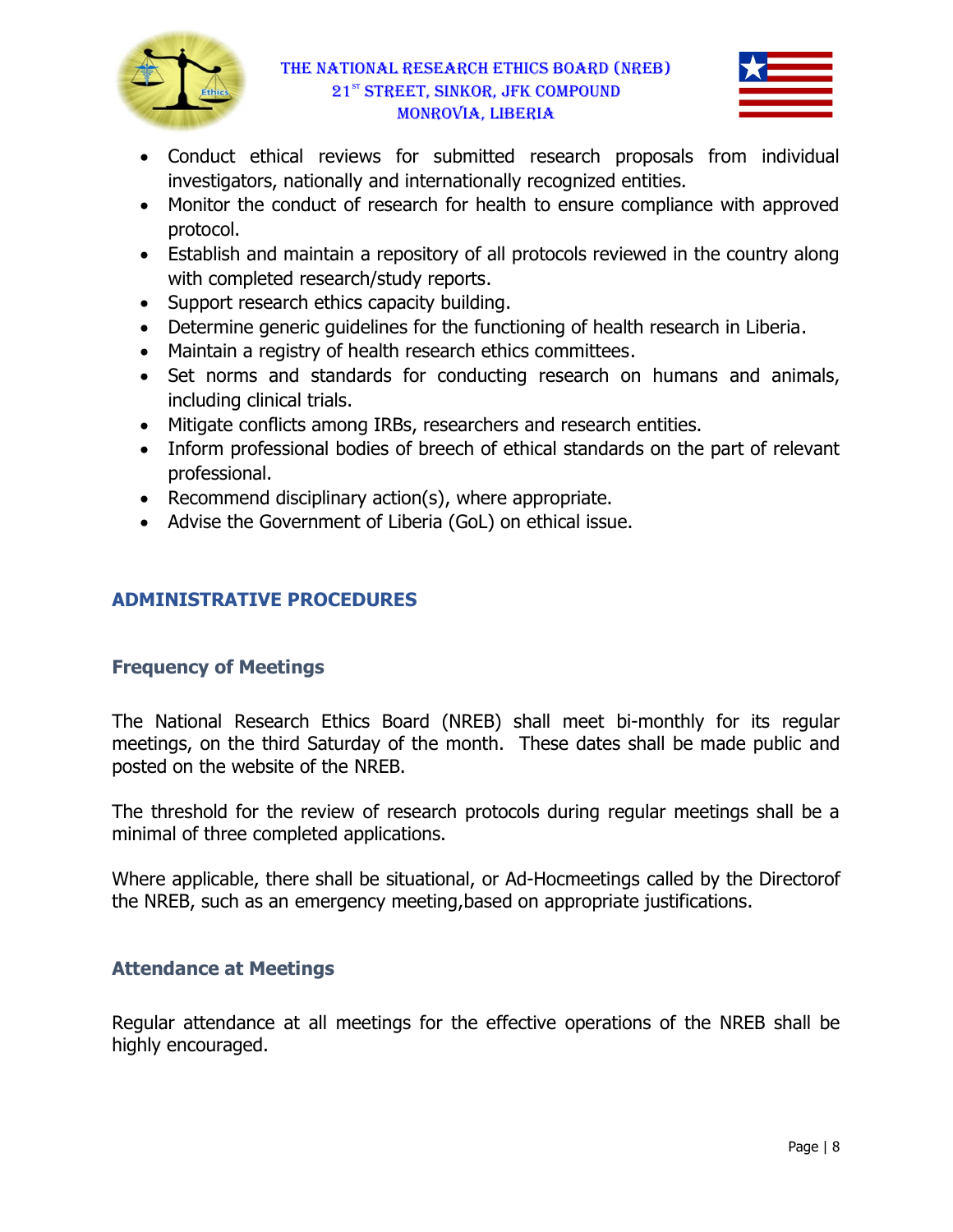



- Conduct ethical reviews for submitted research proposals from individual investigators, nationally nationally and internationally recognized entities.
- Monitor the conduct of research for health to ensure compliance with approved protocol.
- Establish and maintain a repository of all protocols reviewed in the country along with completed research/study reports.
- Support research ethics capacity building.
- Determine generic guidelines for the functioning of health research in Liberia.<br>• Maintain a registry of health research ethics committees.
- Maintain a registry of health research ethics committees.
- Set norms and standards for conducting research on humans and animals, including clinical trials. • Set norms and standards for conducting research on humans<br>including clinical trials.<br>• Mitigate conflicts among IRBs, researchers and research entities.
- 
- Inform professional bodies of breech of ethical standards on the part of relevant professional.
- Recommend disciplinary  $action(s)$ , where appropriate.
- Advise the Government of Liberia (GoL) on ethical issue.

# ADMINISTRATIVE PROCEDURES

## Frequency of Meetings

The National Research Ethics Board (NREB) shall meet bi-monthly for its regular meetings, on the third Saturday of the month. These dates shall be made public and<br>posted on the website of the NREB. posted on the website of the N

The threshold for the review of research protocols during regular meetings shall be a minimal of three completed applications.

minimal of three completed applications.<br>Where applicable, there shall be situational, or Ad-Hocmeetings called by the Directorof the NREB, such as an emergency meeting, based on appropriate justifications.

## Attendance at Meetings

Regular attendance at all meetings for the effective operations of the NREB shall be highly encouraged.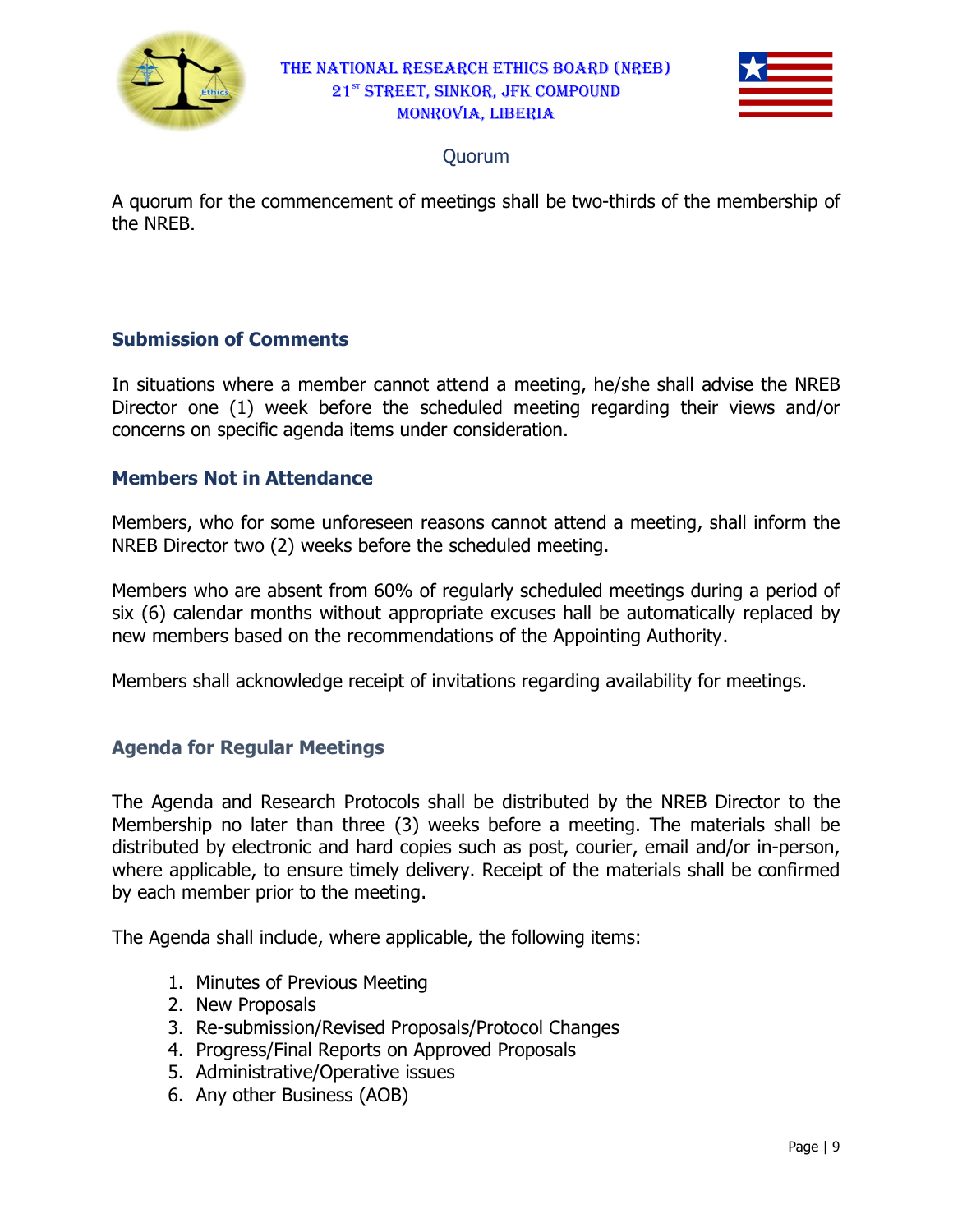



## Quorum

A quorum for the commencement of meetings shall be two-thirds of the membership of the NREB.

## Submission of Comments

In situations where a member cannot attend a meeting, he/she shall advise the NREB Director one (1) week before the scheduled meeting regarding their views and/or concerns on specific agenda items under consideration.

## **Members Not in Attendance**

Members, who for some unforeseen reasons cannot attend a meeting, shall inform the NREB Director two (2) weeks before the scheduled meeting.

Members who are absent from 6 60% of regularly scheduled meetings during a period of six (6) calendar months without appropriate excuses hall be automatically replaced by new members based on the recommendations of the Appointing Authority Authority.

new members based on the recommendations of the Appointing Authority.<br>Members shall acknowledge receipt of invitations regarding availability for meetings.

## Agenda for Regular Meetings Regular

The Agenda and Research Protocols shall be distributed by the NREB Director to the Membership no later than three (3) weeks before a meeting. The materials shall be distributed by electronic and hard copies such as post, courier, email and/or in in-person, where applicable, to ensure timely delivery. Receipt of the materials shall be confirmed by each member prior to the meeting.

The Agenda shall include, where applicable, the following items:

- 1. Minutes of Previous Meeting
- 2. New Proposals
- 3. Re-submission/Revised Proposals/Protocol Changes
- 4. Progress/Final Reports on Approved Proposals
- 5. Administrative/Operative issues
- 6. Any other Business (AOB)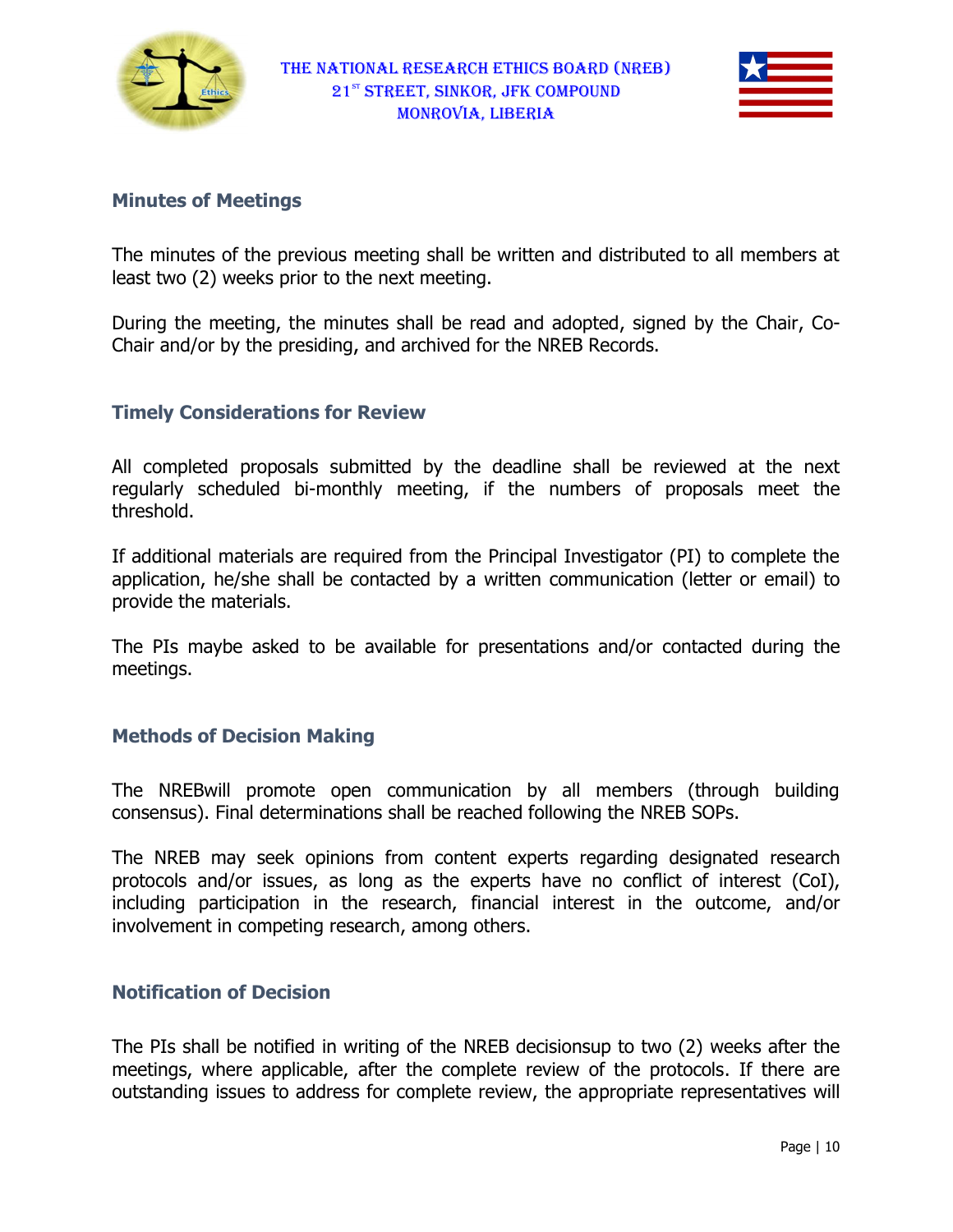



#### Minutes of Meetings

The minutes of the previous meeting shall be written and distributed to all members at least two (2) weeks prior to the next meeting. The minutes of the previous meeting shall be written and distributed to all members at<br>least two (2) weeks prior to the next meeting.<br>During the meeting, the minutes shall be read and adopted, signed by the Chair, Co-

Chair and/or by the presiding, and archived for the NREB Records.

## Timely Considerations for Review s for Review

All completed proposals submitted by the deadline shall be reviewed at the next All completed proposals submitted by the deadline shall be reviewed at the next<br>regularly scheduled bi-monthly meeting, if the numbers of proposals meet the threshold.

If additional materials are required from the Principal Investigator (PI) to complete the regularly scheduled bi-monthly meeting, if the numbers of proposals meet the<br>threshold.<br>If additional materials are required from the Principal Investigator (PI) to complete the<br>application, he/she shall be contacted by a provide the materials.

The PIs maybe asked to be available for presentations and/or contacted during the meetings.

#### **Methods of Decision Making**

The NREBwill promote open communication by all members (through building consensus). Final determinations shall be reached following the NREB SOPs.

The NREB may seek opinions from content experts regarding designated research protocols and/or issues, as long as the experts have no conflict of interest (CoI), protocols and/or issues, as long as the experts have no conflict of interest (CoI),<br>including participation in the research, financial interest in the outcome, and/or involvement in competing research, among others.

## Notification of Decision

The PIs shall be notified in writing of the NREB decisionsup to two (2) weeks after the meetings, where applicable, after the complete review of the protocols. If there are outstanding issues to address for complete review, the appropriate representatives will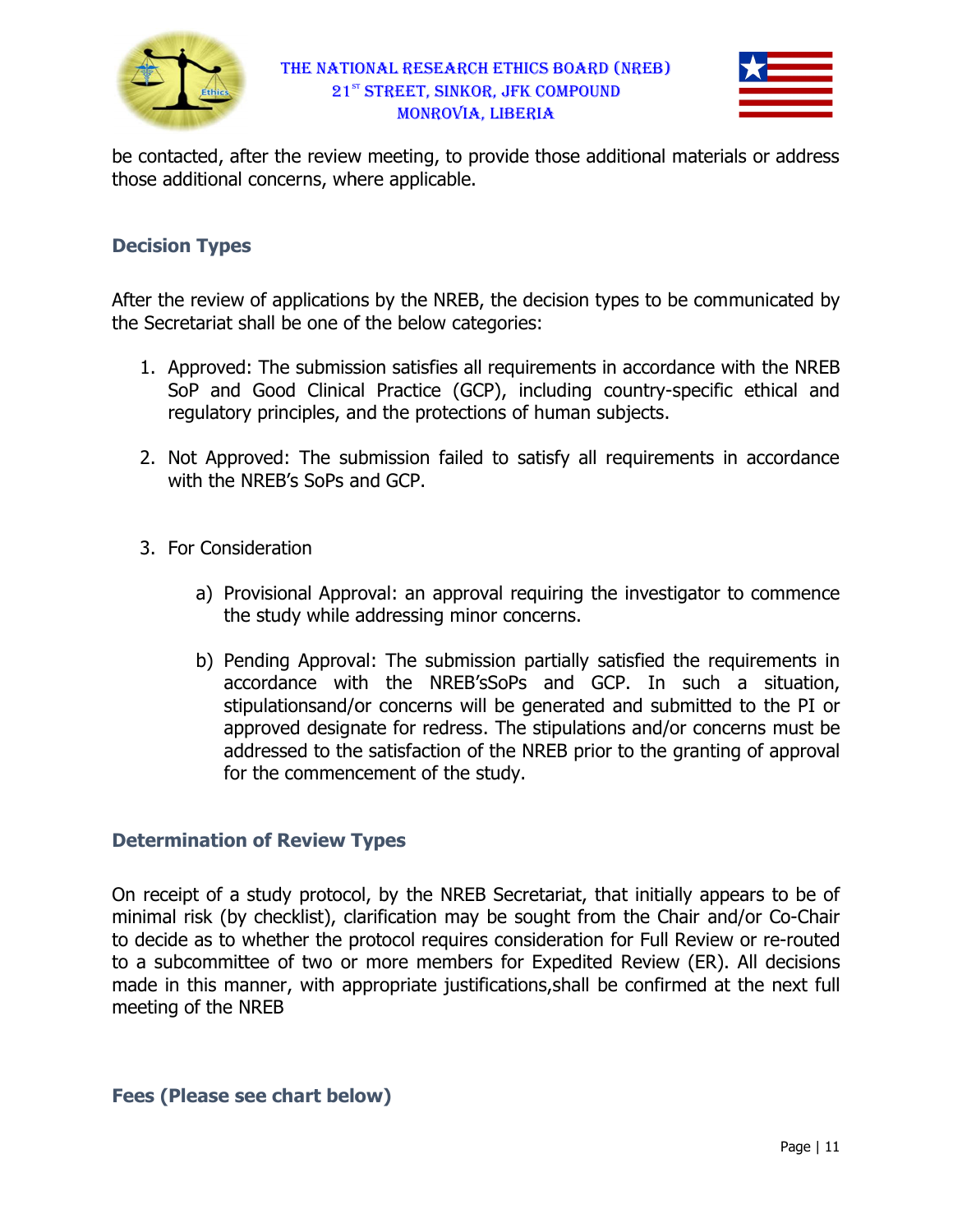

be contacted, after the review meeting, to provide those additional materials or address those additional concerns, where applicable.

## Decision Types

After the review of applications by the NREB, the decision types to be com the Secretariat shall be one of the below additional concerns, where applicable.<br>**ion Types**<br>the review of applications by the NREB, the decision types<br>cretariat shall be one of the below categories: communicated by

- 1. Approved: The submission satisfies all requirements in accordance with the NREB SoP and Good Clinical Practice (GCP), including country-specific ethical and regulatory principles, and the protections of human subjects.
- 2. Not Approved: The submission failed to satisfy all requirements in accordance with the NREB's SoPs and GCP.
- 3. For Consideration
	- a) Provisional Approval: an approval requiring the investigator to commence the study while addressing minor concerns.
- b) Pending Approval Approval: The submission partially satisfied the requirements in accordance with the NREB'sSoPs and GCP. In such stipulationsand/or concerns will be generated and submitted to the PI or approved designate for redress. The stipulations and/or concerns must be addressed to the satisfaction of the NREB prior to the granting of approval for the commencement of the study. Practice (GCP), including country-specific ethical and<br>d the protections of human subjects.<br>mission failed to satisfy all requirements in accordance<br>d GCP.<br>val: an approval requiring the investigator to commence<br>ddressing

#### **Determination of Review Types**

On receipt of a study protocol, by the NREB Secretariat, that initially appears to be of addressed to the satisfaction of the NREB prior to the granting of approval<br>for the commencement of the study.<br>**Determination of Review Types**<br>On receipt of a study protocol, by the NREB Secretariat, that initially appears to decide as to whether the protocol requires consideration for Full Review or re-routed to a subcommittee of two or more members for Expedited Review (ER). All decisions made in this manner, with appropriate justifications, shall be confirmed at the next full meeting of the NREB

#### Fees (Please see chart below)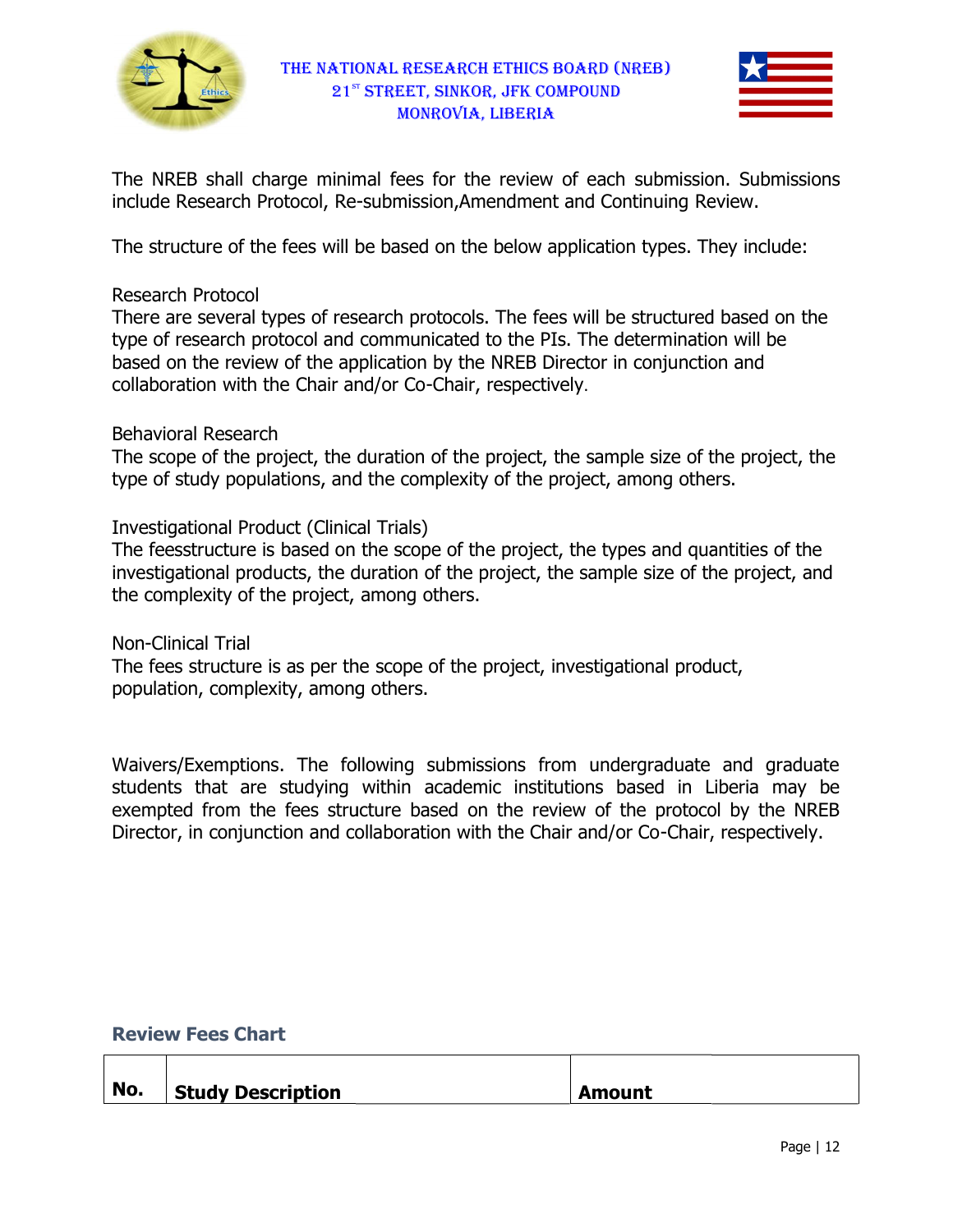



The NREB shall charge minimal fees for the review of each submission submission. Submissions include Research Protocol, Re-submission, Amendment and Continuing Review.

The structure of the fees will be based on the below application types. They include:

#### Research Protocol

The structure of the fees will be based on the below application types. They include:<br>Research Protocol<br>There are several types of research protocols. The fees will be structured based on the type of research protocol and communicated to the PIs. The determination will be based on the review of the application by the NREB Director in conjunction and based on the review of the application by the NREB Director<br>collaboration with the Chair and/or Co-Chair, respectively.

## Behavioral Research

The scope of the project, the duration of the project, the sample size of the project, the type of study populations, and the complexity of the project, among others. The scope of the project, the duration of the project, the sample size of the project, the<br>type of study populations, and the complexity of the project, among others.<br>Investigational Product (Clinical Trials)<br>The feesstruc

Investigational Product (Clinical Trials)

investigational products, the duration of the project, the sample size of the project, and the complexity of the project, among others.

Non-Clinical Trial

the complexity of the project, among others.<br>Non-Clinical Trial<br>The fees structure is as per the scope of the project, investigational product, population, complexity, among others.

Waivers/Exemptions. The following submissions from undergraduate and graduate students that are studying within academic institutions based in Liberia may be exempted from the fees structure based on the review of the protocol by the NREB Director, in conjunction and collaboration with the Chair and/or Co-Chair, respectively. Exemptions. The following submissions from undergraduate and gradua<br>that are studying within academic institutions based in Liberia may<br>if from the fees structure based on the review of the protocol by the NRI<br>in conjuncti otocols. The fees will be structured based on the<br>icated to the PIs. The determination will be<br>by the NREB Director in conjunction and<br>Chair, respectively.<br>of the project, the sample size of the project, the<br>plexity of the

#### Review Fees Chart

| No. | <b>Study Description</b> | <b>Amount</b> |
|-----|--------------------------|---------------|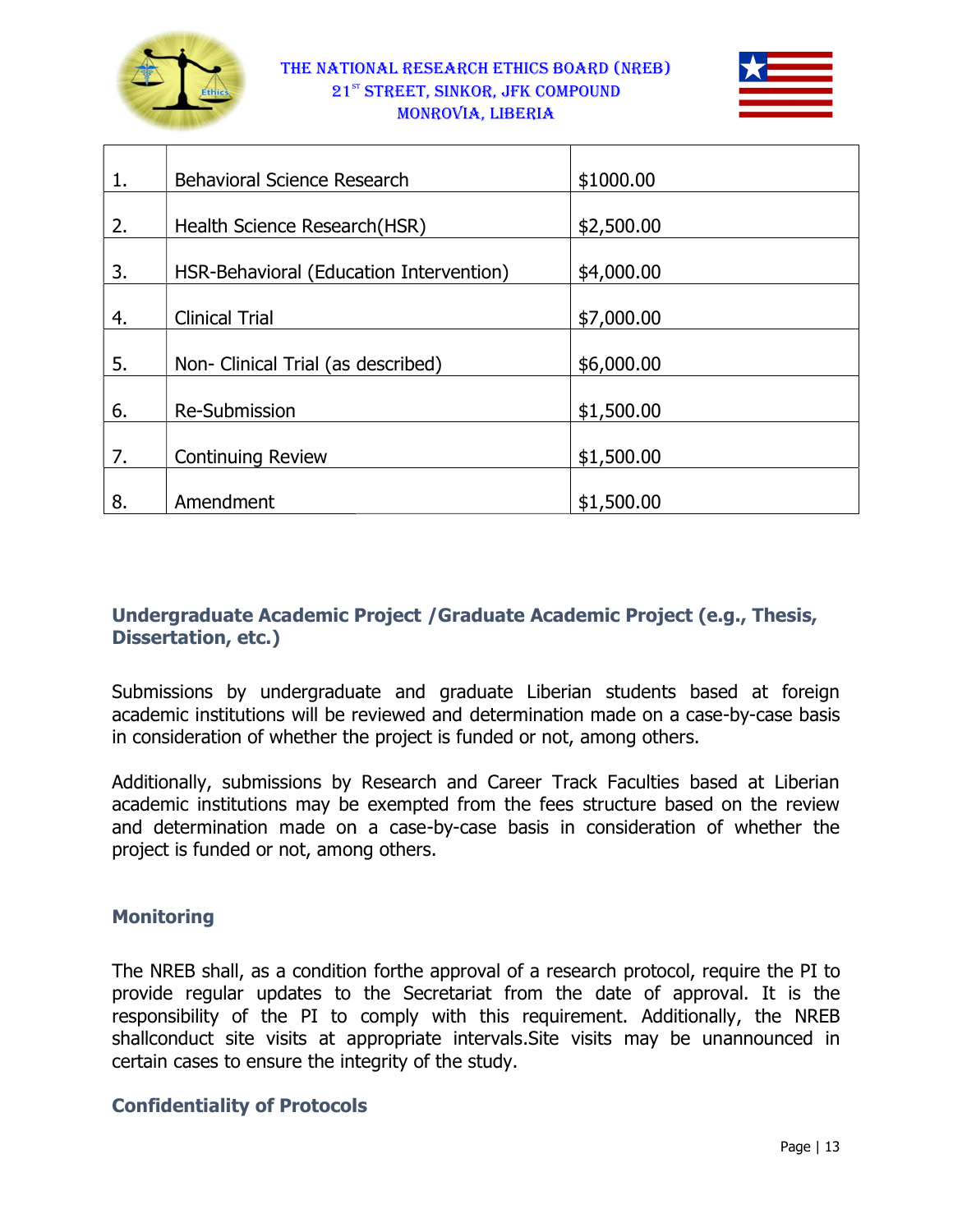



| 1. | Behavioral Science Research             | \$1000.00  |
|----|-----------------------------------------|------------|
|    |                                         |            |
| 2. | Health Science Research(HSR)            | \$2,500.00 |
| 3. | HSR-Behavioral (Education Intervention) | \$4,000.00 |
| 4. | <b>Clinical Trial</b>                   | \$7,000.00 |
| 5. | Non- Clinical Trial (as described)      | \$6,000.00 |
| 6. | <b>Re-Submission</b>                    | \$1,500.00 |
| 7. | <b>Continuing Review</b>                | \$1,500.00 |
| 8. | Amendment                               | \$1,500.00 |

## Undergraduate Academic Project / Graduate Academic Project (e.g., Thesis, Dissertation, etc.)

Submissions by undergraduate and graduate Liberian students based at foreign Submissions by undergraduate and graduate Liberian students based at foreign<br>academic institutions will be reviewed and determination made on a case-by-case basis in consideration of whether the project is funded or not, among others.

Additionally, submissions by Research and Career Track Faculties based at Liberian academic institutions may be exempted from the fees structure based on the review and determination made on a case-by-case basis in consideration of whether the project is funded or not, among others. from the fees structure based on the review<br>case basis in consideration of whether the<br>roval of a research protocol, require the PI to

# **Monitoring**

The NREB shall, as a condition forthe approval of a research protocol, require provide regular updates to the Secretariat from the date of approval. It is the responsibility of the PI to comply with this requirement. Additionally, the NREB shallconduct site visits at appropriate intervals. Site visits may be unannounced in certain cases to ensure the integrity of the study.

## Confidentiality of Protocols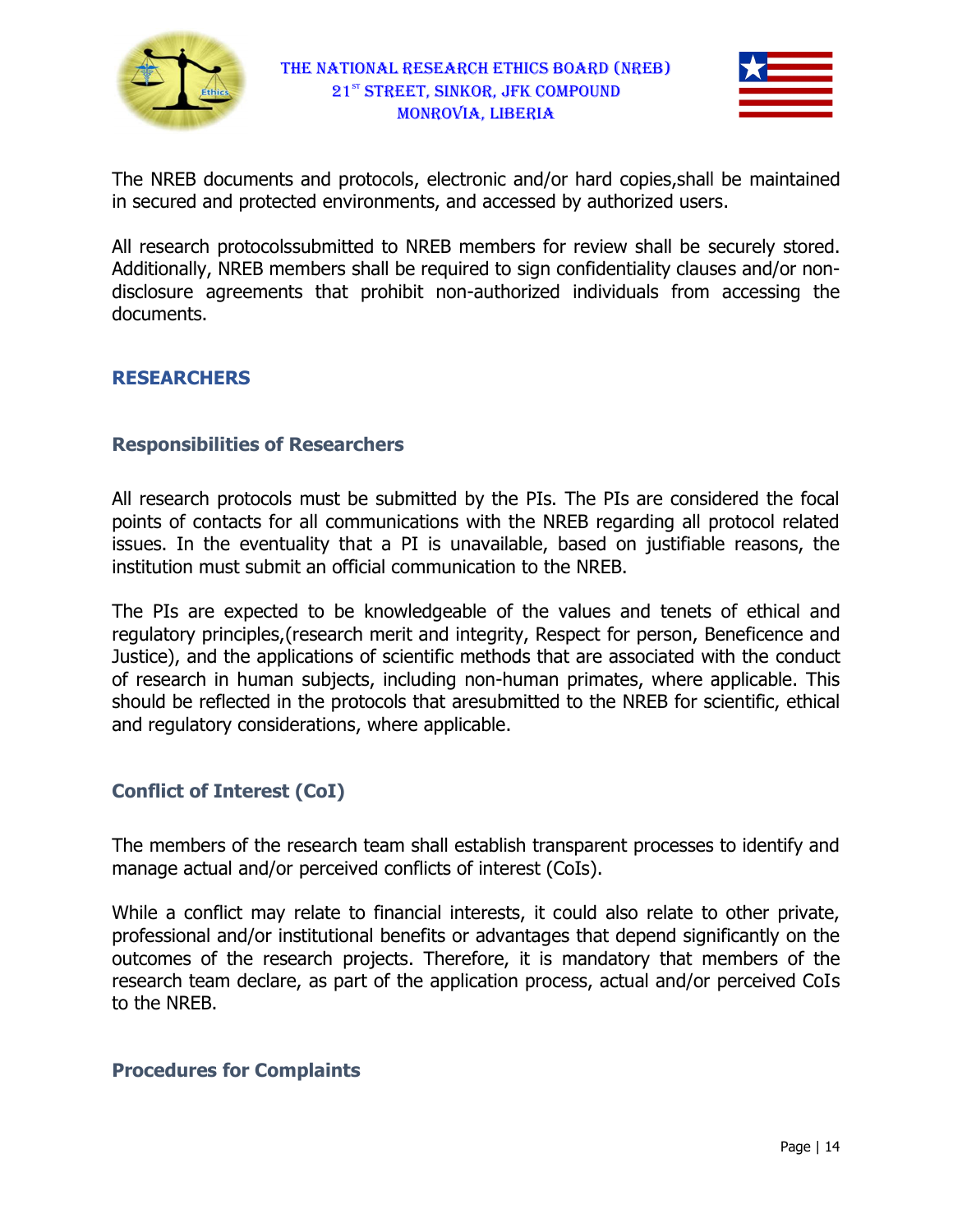



The NREB documents and protocols, electronic and/or hard copies, shall be maintained in secured and protected environments, and accessed by authorized users.

All research protocolssubmitted to NREB members for review shall be securely stored. Additionally, NREB members shall be required to sign confidentiality clauses and/or nondisclosure agreements that prohibit non-authorized individuals from accessing the documents.

## RESEARCHERS

#### Responsibilities of Researchers

All research protocols must be submitted by the PIs. The PIs are considered the focal points of contacts for all communications with the NREB regarding all protocol related points of contacts for all communications with the NREB regarding all protocol related<br>issues. In the eventuality that a PI is unavailable, based on justifiable reasons, the institution must submit an official communication to the NREB. authorized individuals from accessing the<br>with the NREB regarding all protocol related<br>available, based on justifiable reasons, the<br>ation to the NREB.<br>le of the values and tenets of ethical and

institution must submit an official communication to the NREB.<br>The PIs are expected to be knowledgeable of the values and tenets regulatory principles, (research merit and integrity, Respect for person, Beneficence and regulatory principles,(research merit and integrity, Respect for person, Beneficence and<br>Justice), and the applications of scientific methods that are associated with the conduct Justice), and the applications of scientific methods that are associated with the conduct<br>of research in human subjects, including non-human primates, where applicable. This should be reflected in the protocols that aresubmitted to the NREB for scientific, ethical and regulatory considerations, where applicable.

## Conflict of Interest (CoI)

The members of the research team shall establish transparent processes to identify and manage actual and/or perceived conflicts of interest (CoIs).

While a conflict may relate to financial interests, it could also relate to other private, professional and/or institutional benefits or advantages that depend significantly on the professional and/or institutional benefits or advantages that depend significantly on the<br>outcomes of the research projects. Therefore, it is mandatory that members of the research team declare, as part of the application process, actual and/or perceived CoIs to the NREB. aresubmitted to the NREB for scientific, ethical<br>licable.<br>establish transparent processes to identify and<br>of interest (CoIs).<br>interests, it could also relate to other private,<br>or advantages that depend significantly on the

#### Procedures for Complaints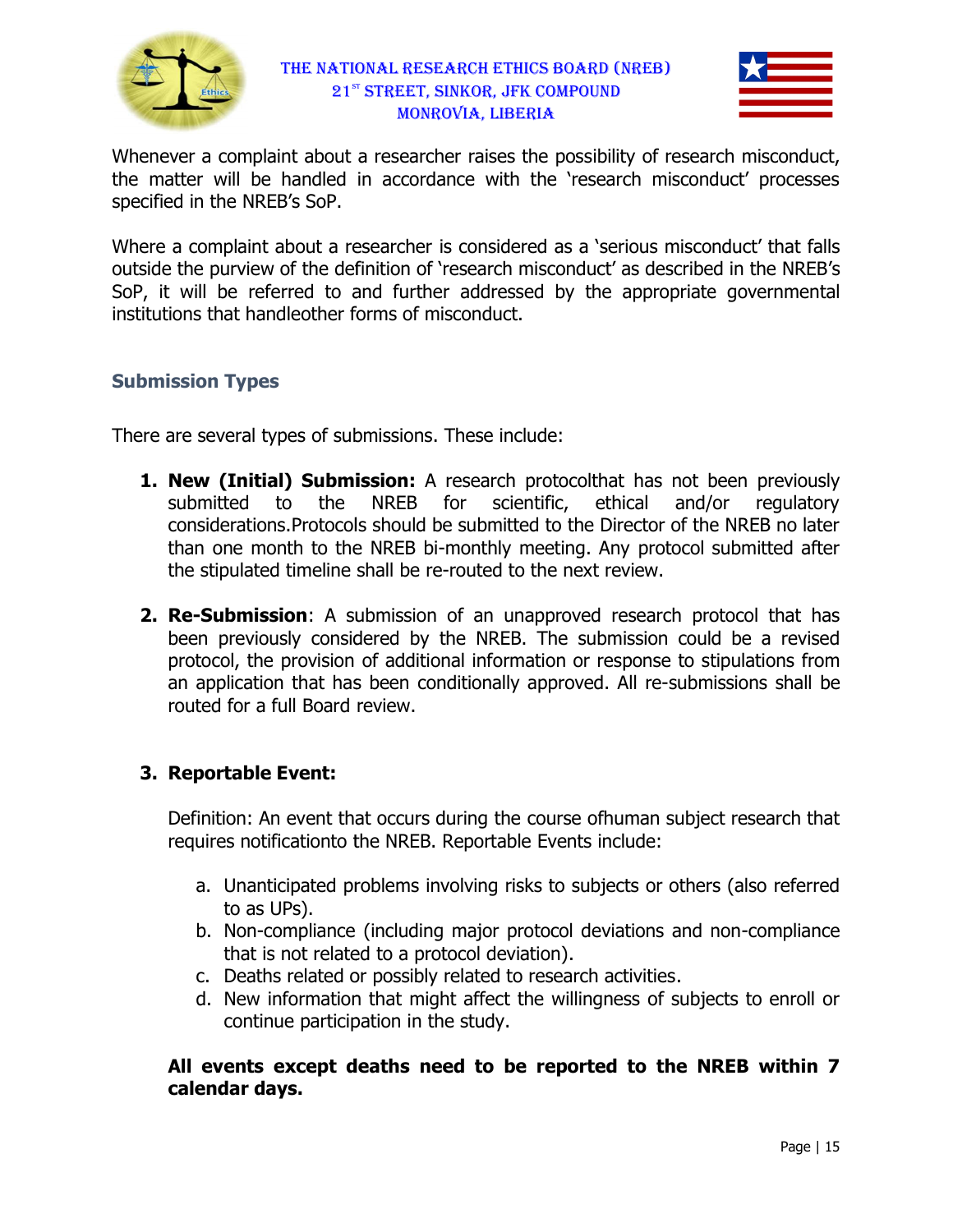



Whenever a complaint about a researcher raises the possibility of research misconduct, the matter will be handled in accordance with the 'research misconduct' processes specified in the NREB's SoP.

Where a complaint about a researcher is considered as a 'serious misconduct' that falls outside the purview of the definition of 'research misconduct' as described in the NREB's SoP, it will be referred to and further addressed by the appropriate governmental institutions that handleother forms of misconduct.

## Submission Types

institutions that handleother forms of misconduct.<br>**Submission Types**<br>There are several types of submissions. These include:

- 1. New (Initial) Submission: A research protocolthat has not been previously submitted to the NREB for scientific, ethical and/or regulatory submitted to the NREB for scientific, ethical and/or regulatory<br>considerations.Protocols should be submitted to the Director of the NREB no later than one month to the NREB bi-monthly meeting. Any protocol submitted after the stipulated timeline shall be re-routed to the next review. botocolthat has not been previously<br>fic, ethical and/or regulatory<br>to the Director of the NREB no later<br>eting. Any protocol submitted after<br>ne next review.<br>proved research protocol that has
- 2. Re-Submission: A submission of an unapproved research prot been previously considered by the NREB. The submission could be a revised protocol, the provision of additional information or response to stipulations from an application that has been conditionally approved. All re-submissions routed for a full Board review. Board could be a revised<br>to stipulations from<br>submissions shall be

#### 3. Reportable Event:

Definition: An event that occurs during the course ofhuman subject research that requires notificationto the NREB. Reportable Events include:

- requires notificationto the NREB. Reportable Events include:<br>a. Unanticipated problems involving risks to subjects or others (also referred to as UPs). inition: An event that occurs during the course ofhuman subject research that<br>uires notificationto the NREB. Reportable Events include:<br>a. Unanticipated problems involving risks to subjects or others (also referred<br>to as U
	- that is not related to a protocol deviation).
	- c. Deaths related or possibly related to research activities.
	- d. New information that might affect the willingness of subjects to enroll or continue participation in the study.

All events except deaths need to be reported to the NREB within 7 calendar days.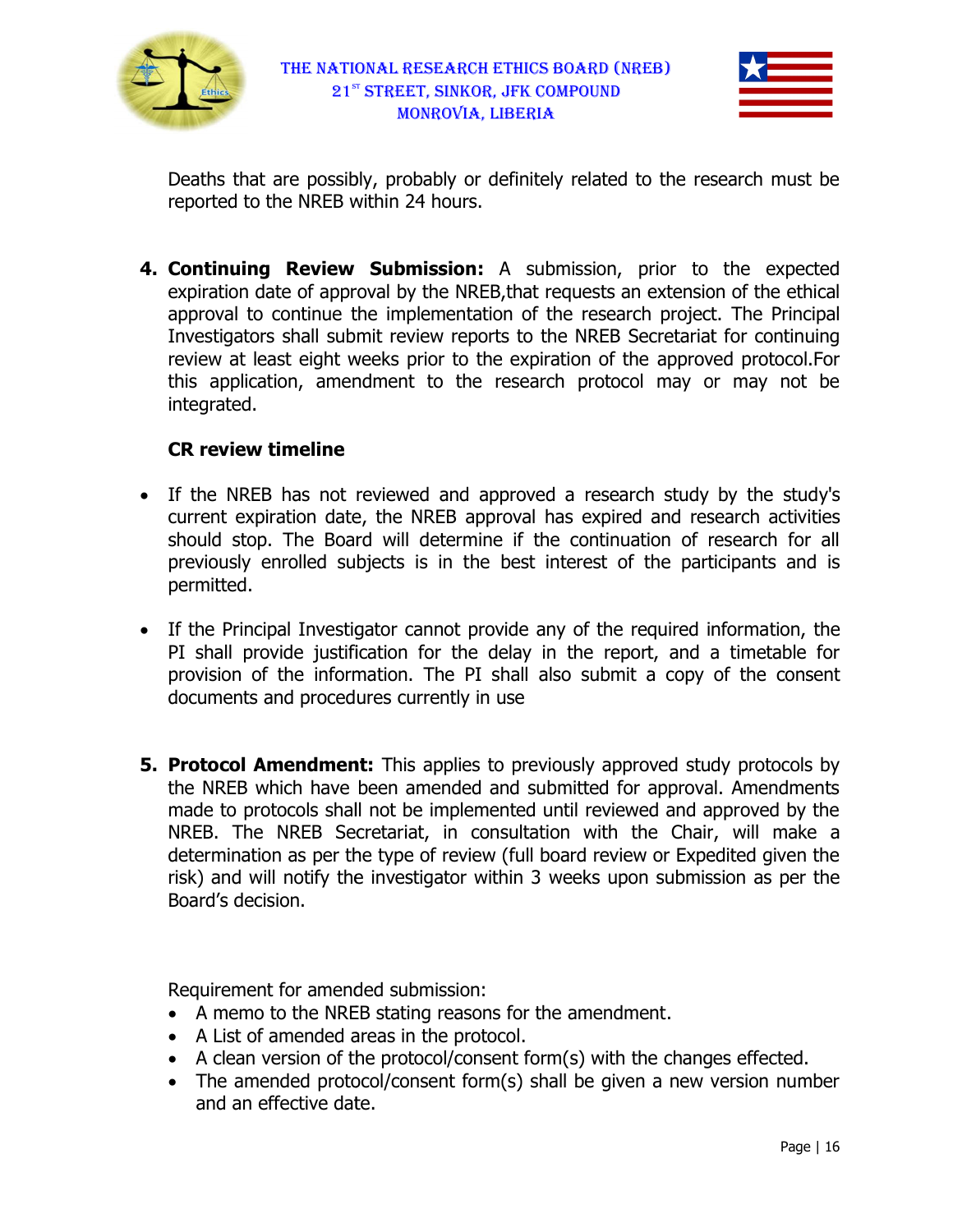



Deaths that are possibly, probably or definitely related to the research must be reported to the NREB within 24 hours.

4. Continuing Review Submission: A submission, prior to the expected expiration date of approval by the NREB, that requests an extension of the ethical approval to continue the implementation of the research project. The Principal approval to continue the implementation of the research project. The Principal<br>Investigators shall submit review reports to the NREB Secretariat for continuing Investigators shall submit review reports to the NREB Secretariat for continuing<br>review at least eight weeks prior to the expiration of the approved protocol.For this application, amendment to the research protocol may or may not be integrated.

## CR review timeline

- If the NREB has not reviewed and approved a research study by the study's current expiration date, the NREB approval has expired and research activities should stop. The Board will determine if the continuation of research for all should stop. The Board will determine if the continuation of research for all<br>previously enrolled subjects is in the best interest of the participants and is permitted. previously enrolled subjects is in the best interest of the participants and is<br>
• If the Principal Investigator cannot provide any of the required information, the
- PI shall provide justification for the delay in the report, and a timetable for PI shall provide justification for the delay in the report, and a timetable for<br>provision of the information. The PI shall also submit a copy of the consent documents and procedures currently in use
- documents and procedures currently in use<br> **5. Protocol Amendment:** This applies to previously approved study protocols by the NREB which have been amended and submitted for approval. Amendments made to protocols shall not be implemented until reviewed and approved by the provision of the information. The PI shall also submit a copy of the consent<br>documents and procedures currently in use<br>**Protocol Amendment:** This applies to previously approved study protocols by<br>the NREB which have been a determination as per the type of review (full board review or Expedited given the risk) and will notify the investigator within 3 weeks upon submission as per the Board's decision.

Requirement for amended submission:

- A memo to the NREB stating reasons for the amendment.
- A List of amended areas in the protocol.
- A clean version of the protocol/consent form(s) with the changes effected.
- The amended protocol/consent form(s) shall be given a new version number and an effective date.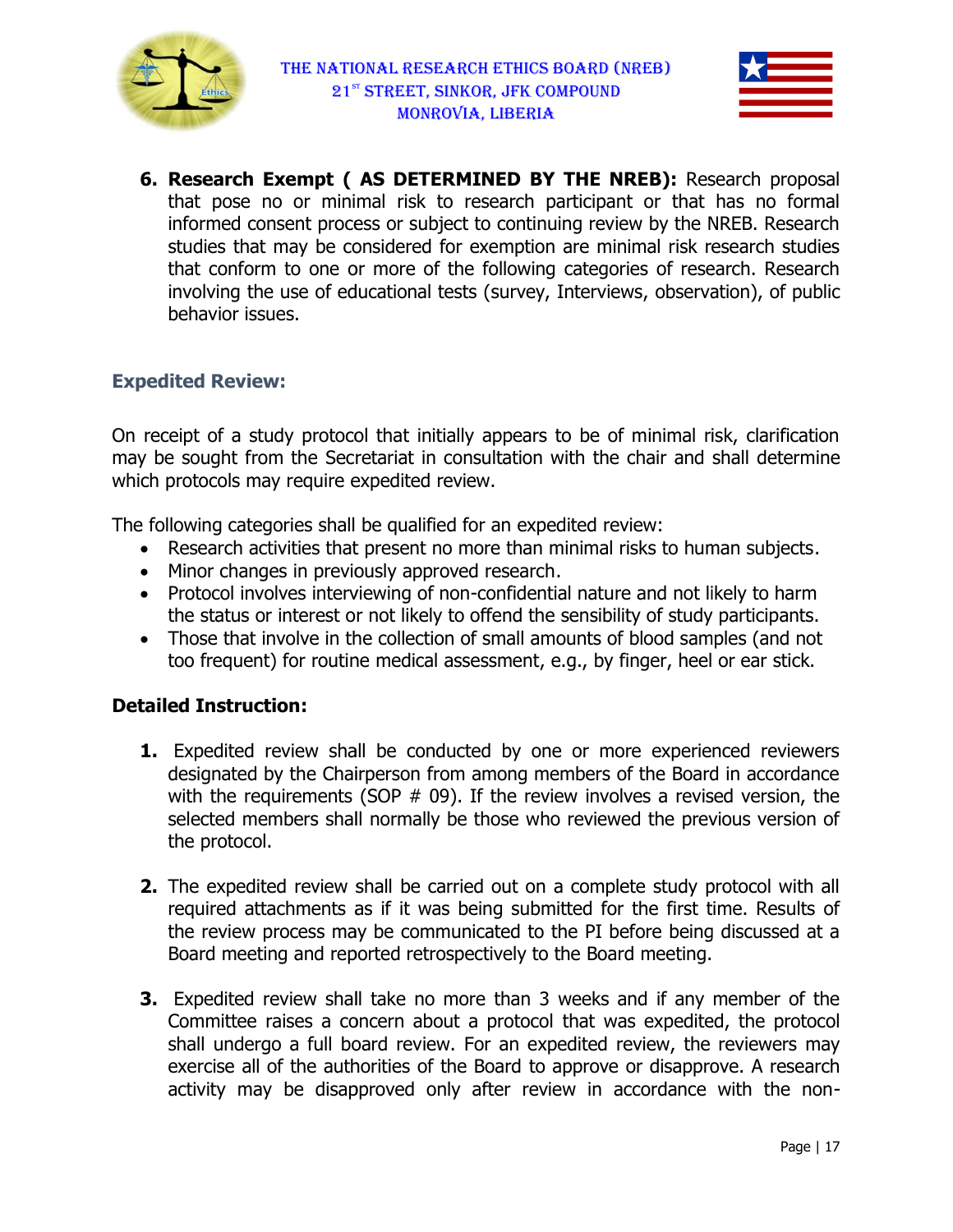



6. Research Exempt ( AS DETERMINED BY THE NREB): Research proposal that pose no or minimal risk to research participant or that has no formal that pose no or minimal risk to research participant or that has no formal<br>informed consent process or subject to continuing review by the NREB. Research studies that may be considered for exemption are minimal risk research studies studies that may be considered for exemption are minimal risk research studies<br>that conform to one or more of the following categories of research. Research involving the use of educational tests (survey, Interviews, observation), of public behavior issues.

## Expedited Review:

On receipt of a study protocol that initially appears to be of minimal risk, clarification may be sought from the Secretariat in consultation with the chair and shall determine which protocols may require expedited review.

The following categories shall be qualified for an expedited review:

- Research activities that present no more than minimal risks to human subjects. e following categories shall be qualified for an expedi<br>• Research activities that present no more than mi<br>• Minor changes in previously approved research.
- 
- Protocol involves interviewing of non-confidential nature and not likely to harm the status or interest or not likely to offend the sensibility of study participants.
- Those that involve in the collection of small amounts of blood samples (and not too frequent) for routine medical assessment, e.g., by finger, heel or ear stick. to offend the sensibility of study participants.<br>In of small amounts of blood samples (and not<br>assessment, e.g., by finger, heel or ear stick.

#### Detailed Instruction:

- **1.** Expedited review shall be conducted by one or more experienced reviewers designated by the Chairperson from among members of the Board in accordance with the requirements (SOP  $#$  09). If the review involves a revised version, the selected members shall normally be those who reviewed the previous version of the protocol. pedited review shall be conducted by one or more experienced reviewers signated by the Chairperson from among members of the Board in accordance th the requirements (SOP  $#$  09). If the review involves a revised version, confidential nature and not likely to harm<br>offend the sensibility of study participants.<br>Small amounts of blood samples (and not<br>sssment, e.g., by finger, heel or ear stick.<br>And the protocol experienced reviewers<br>any membe
- **2.** The expedited review shall be carried out on a complete study protocol with all required attachments as if it was being submitted for the first time. Results of first time. the review process may be communicated to the PI before being discussed at a Board meeting and reported retrospectively to the Board meeting. the review process may be communicated to the PI before being discussed at a<br>Board meeting and reported retrospectively to the Board meeting.<br>3. Expedited review shall take no more than 3 weeks and if any member of the
- Committee raises a concern about a protocol that was expedited, shall undergo a full board review. For an expedited review, the reviewers may shall undergo a full board review. For an expedited review, the reviewers may<br>exercise all of the authorities of the Board to approve or disapprove. A research activity may be disapproved only after review in accordance with the non-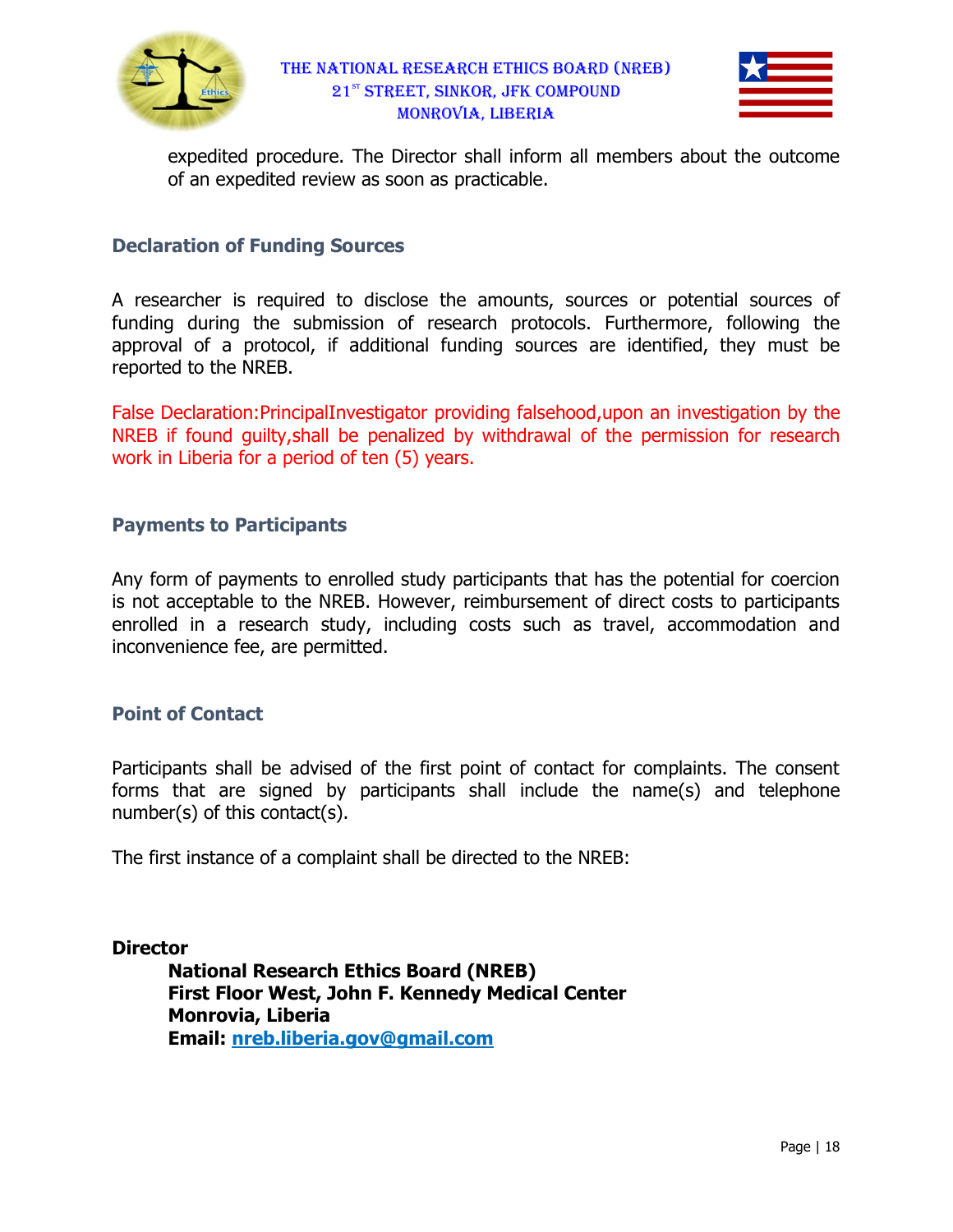



expedited procedure. The Director shall inform all members about the outcome of an expedited review as soon as practicable. practicable.

#### Declaration of Funding Sources Funding Sources

A researcher is required to disclose the amounts, sources or potential sources of funding during the submission of research protocols. Furthermore, approval of a protocol, if additional funding sources are identified, they must be reported to the NREB. d procedure. The Director shall inform all members about the outcome<br>pedited review as soon as practicable.<br>**f Funding Sources**<br>s required to disclose the amounts, sources or potential sources of<br>p the submission of resear

False Declaration: Principal Investigator providing falsehood, upon an investigation by the NREB if found guilty, shall be penalized by withdrawal of the permission for research work in Liberia for a period of ten (5) years.

## Payments to Participants

Any form of payments to enrolled study participants that has the potential for coercion is not acceptable to the NREB. However, reimbursement of direct costs to participants NREB if found guilty, shall be penalized by withdrawal of the permission for research<br>work in Liberia for a period of ten (5) years.<br>**Payments to Participants**<br>Any form of payments to enrolled study participants that has t inconvenience fee, are permitted.

#### Point of Contact

Participants shall be advised of the first point of contact for complaints. The consent forms that are signed by participants shall include the name(s) and telephone number(s) of this contact(s).

The first instance of a complaint shall be directed to the NREB:

**Director** 

National Research Ethics Board (NREB) National Research Ethics Board (NREB)<br>First Floor West, John F. Kennedy Medical Center Monrovia, Liberia Email: nreb.liberia.gov@gmail.com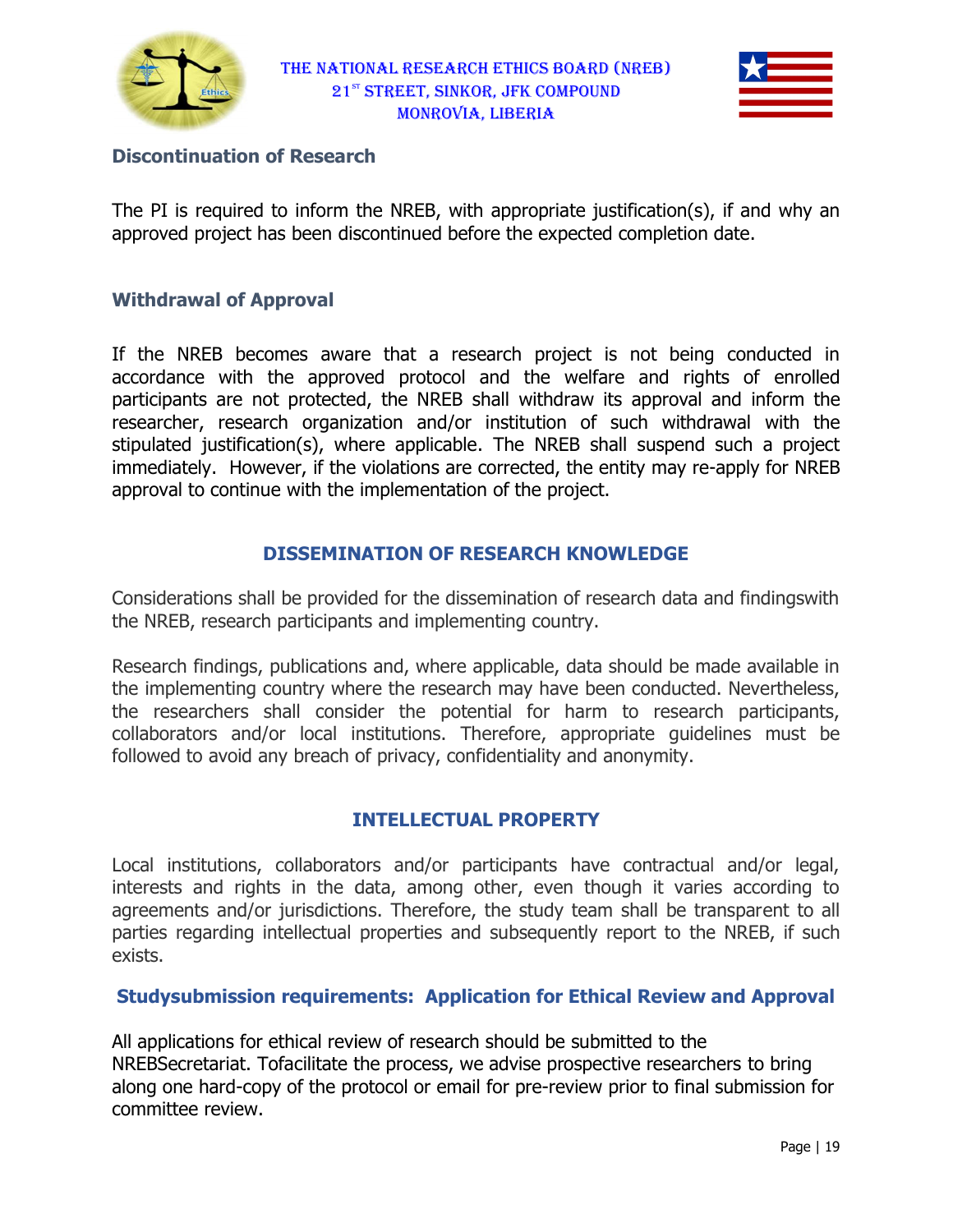



## **Discontinuation of Research**

The PI is required to inform the NREB, with appropriate justification(s), if and why an approved project has been discontinued before the expected completion date.

#### Withdrawal of Approval

approved project has been discontinued before the expected completion date.<br>Wi**thdrawal of Approval**<br>If the NREB becomes aware that a research project is not being conducted in accordance with the approved protocol and the welfare and rights of enrolled accordance with the approved protocol and the welfare and rights of enrolled<br>participants are not protected, the NREB shall withdraw its approval and inform the researcher, research organization and/or institution of such withdrawal with the stipulated justification(s), where applicable. The NREB shall suspend such a project stipulated justification(s), where applicable. The NREB shall suspend such a project<br>immediately. However, if the violations are corrected, the entity may re-apply for NREB approval to continue with the implementation of the project.

## DISSEMINATION OF RESEARCH KNOWLEDGE DISSEMINATION OF

Considerations shall be provided for the dissemination of research data and findingswith the NREB, research participants and implementing country.

the NREB, research participants and implementing country.<br>Research findings, publications and, where applicable, data should be made available in the implementing country where the research may have been conducted. Nevertheless, the researchers shall consider the potential for harm to research participants, collaborators and/or local institutions. Therefore, appropriate guidelines must be followed to avoid any breach of privacy, confidentiality and anonymity. shall consider the potential for harm to research participants,<br>/or local institutions. Therefore, appropriate guidelines must be<br>any breach\_of\_privacy,\_confidentiality\_and\_anonymity.

#### INTELLECTUAL PROPERTY PROPERTY

Local institutions, collaborators and/or participants have contractual and/or legal, interests and rights in the data, among other, even though it varies according to agreements and/or jurisdictions. Therefore, the study team shall be transparent to all interests and rights in the data, among other, even though it varies according to<br>agreements and/or jurisdictions. Therefore, the study team shall be transparent to all<br>parties regarding intellectual properties and subsequ exists. al institutions. Therefore, appropriate guidelines must be<br>ach of privacy, confidentiality and anonymity.<br>**INTELLECTUAL PROPERTY**<br>orators and/or participants have contractual and/or legal,<br>he data, among other, even though

#### Studysubmission requirements: Application for Ethical Review and Approval

All applications for ethical review of research should be submitted to the parties regarding intellectual properties and subsequently report to the NREB, if su<br>exists.<br>**Studysubmission requirements: Application for Ethical Review and Approv**<br>All applications for ethical review of research should along one hard-copy of the protocol or email for pre-review prior to final submission for committee review.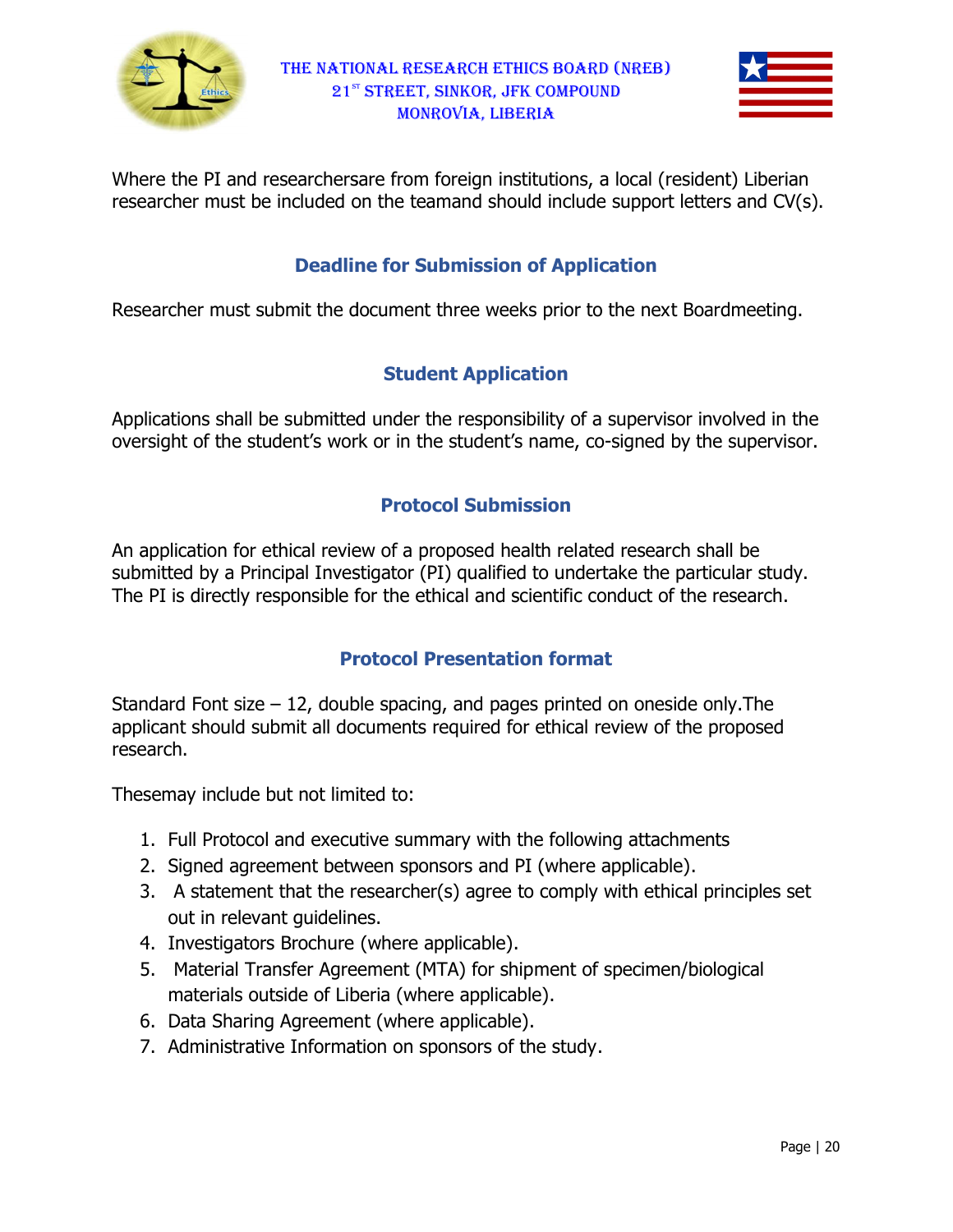



Where the PI and researchersare from foreign institutions, a local (resident) Liberian researcher must be included on the teamand should include support letters and CV(s).

## **Deadline for Submission of Application**

researcher must be included on the teamand should include support letters and CV(s).<br> **Deadline for Submission of Application**<br>
Researcher must submit the document three weeks prior to the next Boardmeeting.

## Student Application

Applications shall be submitted under the responsibility of a supervisor involved in the Applications shall be submitted under the responsibility of a supervisor involved in the<br>oversight of the student's work or in the student's name, co-signed by the supervisor.

## Protocol Submission

An application for ethical review of a proposed health related research shall be submitted by a Principal Investigator (PI) qualified to undertake the particular study. The PI is directly responsible for the ethical and scientific conduct of the research. 's name, co-signed by the supervis<br>**nission**<br>ealth related research shall be<br>ed to undertake the particular stud<sub>!</sub><br>scientific conduct of the research.

# Protocol Presentation format Protocol

Standard Font size – 12, double spacing, and pages printed on oneside only.The applicant should submit all documents required for ethical review of the proposed research. rd Font size – 12, double spacing, and pages printed on oneside<br>int should submit all documents required for ethical review of the<br>ch.<br>may include but not limited to:<br>Full Protocol and executive summary with the following

Thesemay include but not limited to:

- 1. Full Protocol and executive summary with the following attachments
- 2. Signed agreement between sponsors and PI (where applicable)
- 3. A statement that the researcher(s) agree to comply with ethical principles set out in relevant guidelines. 3. A statement that the researcher(s) agree to<br>out in relevant guidelines.<br>4. Investigators Brochure (where applicable).
- 
- 5. Material Transfer Agreement (MTA) for shipment of specimen/biological materials outside of Liberia (where applicable).
- 6. Data Sharing Agreement (where applicable).
- 7. Administrative Information on sponsors of the study.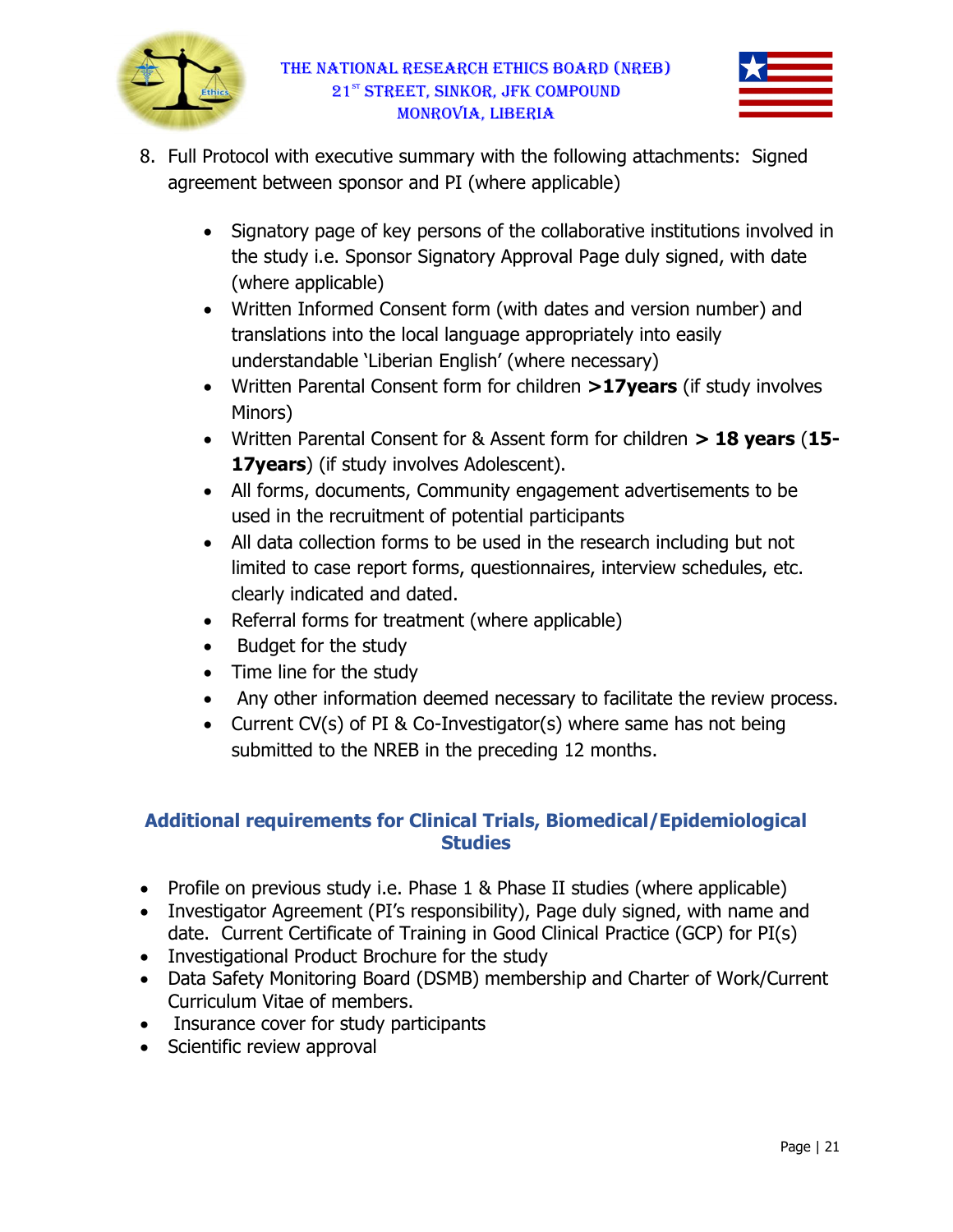



- 8. Full Protocol with executive summary with the following attachments: Signed agreement between sponsor and PI (where applicable)
	- Signatory page of key persons of the collaborative institutions involved in the study i.e. Sponsor Signatory Approval Page d (where applicable) tocol with executive summary with the following attachments: Signed<br>ent between sponsor and PI (where applicable)<br>Signatory page of key persons of the collaborative institutions involved<br>the study i.e. Sponsor Signatory Ap
	- Written Informed Consent form (with dates and version number) and translations into the local language appropriately into easily understandable 'Liberian English' (where necessary) the study i.e. Sponsor Signatory Approval Page duly signed, with date<br>(where applicable)<br>Written Informed Consent form (with dates and version number) and<br>translations into the local language appropriately into easily
	- understandable 'Liberian English' (where necessary)<br>Written Parental Consent form for children >17years (if study involves Minors)
	- Written Parental Consent for & Assent form for children  $> 18$  years (15-17years) (if study involves Adolescent).
	- All forms, documents, Community engagement advertisements to be used in the recruitment of potential participants
	- All data collection forms to be used in the research including but not limited to case report forms, questionnaires, interview schedules, etc.<br>clearly indicated and dated.<br>Referral forms for treatment (where applicable)<br>Budget for the study clearly indicated and dated. mmunity engagement advertisements to be<br>f potential participants<br>o be used in the research including but not<br>ms, questionnaires, interview schedules, etc.<br>d.<br>tent (where applicable)<br>eemed necessary to facilitate the review
	- Referral forms for treatment (where applicable)
	- Budget for the study
	- Time line for the study
	- Any other information deemed necessary to facilitate the review process.
	- Current CV(s) of PI & Co-Investigator(s) where same has not being submitted to the NREB in the preceding 12 months.

# Additional requirements for Clinical Trials, Biomedical/Epidemiological **Studies**

- Profile on previous study i.e. Phase 1 & Phase II studies (where applicable)
- Investigator Agreement (PI's responsibility), Page duly signed, with name and date. Current Certificate of Training in Good Clinical Practice (GCP) for PI(s) Profile on previous study i.e. Phase 1 & Phase II studies (where applicable)<br>Investigator Agreement (PI's responsibility), Page duly signed, with name an<br>date. Current Certificate of Training in Good Clinical Practice (GC
- Investigational Product Brochure for the study
- Data Safety Monitoring Board (DSMB) membership and Charter of Work/Current Curriculum Vitae of members. tigational Product Brochure for the study<br>Safety Monitoring Board (DSMB) membership and Charter<br>:ulum Vitae of members.
- Insurance cover for study participants
- Scientific review approval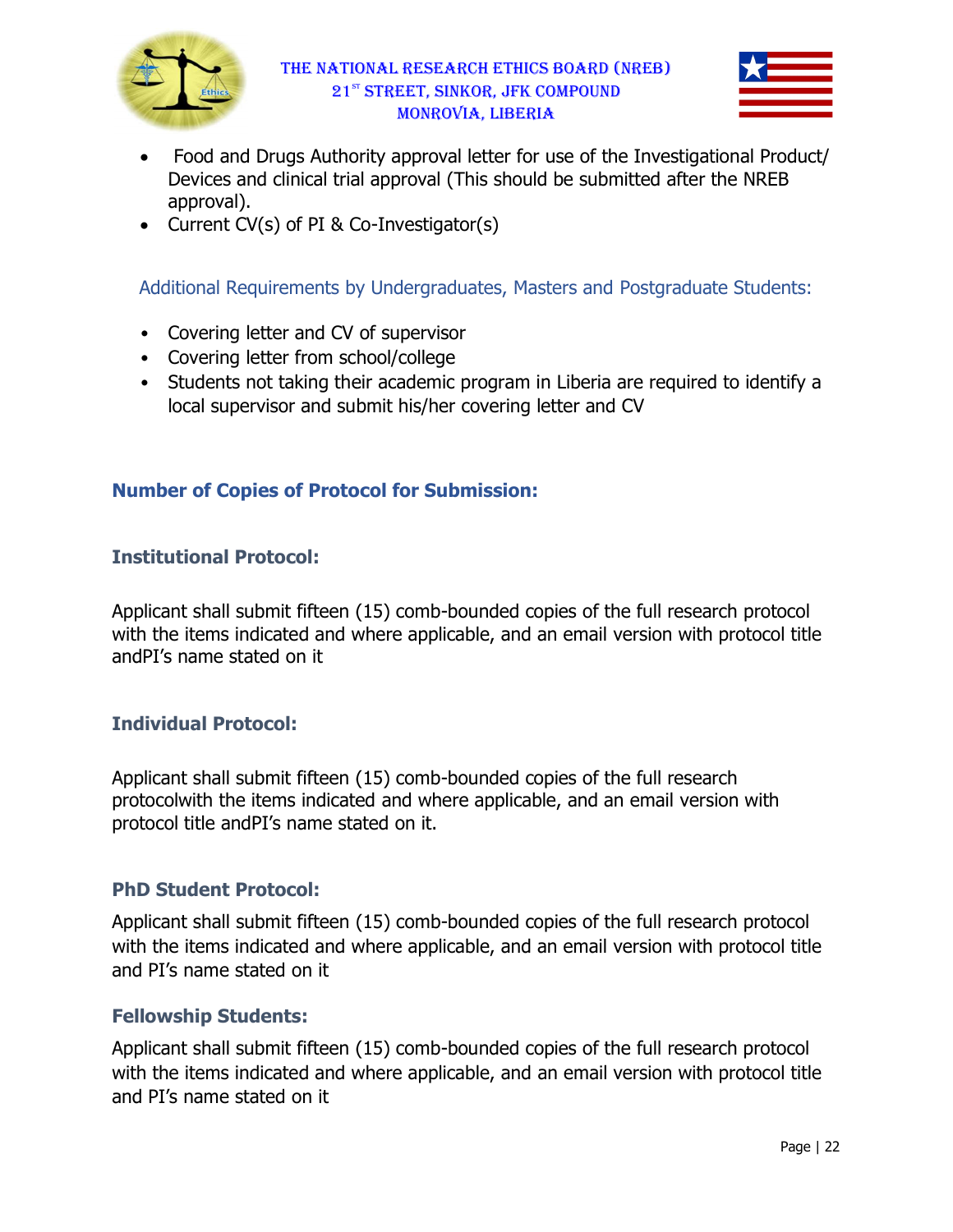



- Food and Drugs Authority approval letter for use of the Investigational Product/ Devices and clinical trial approval (This should be submitted after the NREB approval). ugs Authority approval letter for use<br>clinical trial approval (This should be<br>) of PI & Co-Investigator(s)
- Current CV(s) of PI & Co-Investigator(s)

Additional Requirements by Undergraduates, Masters and Postgraduate Students:

- Covering letter and CV of supervisor
- Covering letter from school/college
- Students not taking their academic program in Liberia are required to identify a local supervisor and submit his/her covering letter and CV Students not taking their academic program in Liberia are required to<br>local supervisor and submit his/her covering letter and CV<br>**er of Copies of Protocol for Submission:**<br>u**tional Protocol:**<br>unt shall submit fifteen (15)

# Number of Copies of Protocol for Submission:

## Institutional Protocol:

Applicant shall submit fifteen (15) comb-bounded copies of the full research protocol with the items indicated and where applicable, and an email version with protocol title andPI's name stated on it

## Individual Protocol:

Applicant shall submit fifteen (15) comb-bounded copies of the full research protocolwith the items indicated and where applicable, and an email version with protocol title andPI's name stated on it.

#### PhD Student Protocol:

protocol title andPI's name stated on it.<br> **PhD Student Protocol:**<br>Applicant shall submit fifteen (15) comb-bounded copies of the full research protocol with the items indicated and where applicable, and an email version with protocol title and PI's name stated on it bounded copies of the full research<br>ere applicable, and an email version with<br>bounded copies of the full research protocol<br>cable, and an email version with protocol title<br>bounded copies of the full research protocol

#### Fellowship Students:

Applicant shall submit fifteen (15) comb-bounded copies of the full research protocol with the items indicated and where applicable, and an email version with protocol title and PI's name stated on it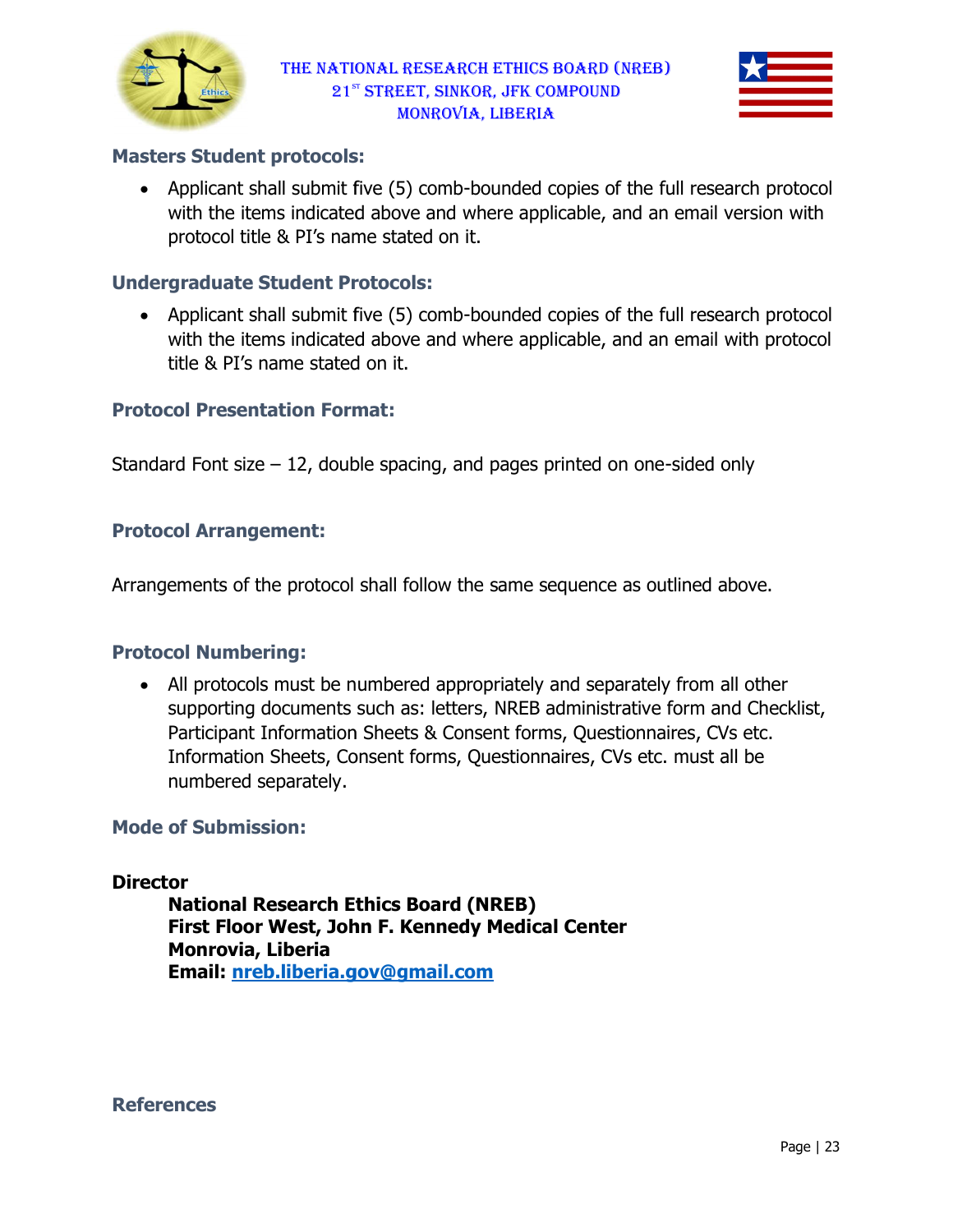



#### Masters Student protocols:

• Applicant shall submit five (5) comb-bounded copies of the full research protocol with the items indicated above and where applicable, and an email version with protocol title & PI's name stated on it.

#### Undergraduate Student Protocols: Protocols:

• Applicant shall submit five (5) comb-bounded copies of the full research protocol with the items indicated above and where applicable, and an email with protocol with the items indicated above and where applicable, and an email title & PI's name stated on it.

#### Protocol Presentation Format Format:

Standard Font size – 12, double spacing, and pages printed on one-sided only

#### Protocol Arrangement:

Arrangements of the protocol shall follow the same sequence as outlined above.

#### Protocol Numbering:

angements of the protocol shall follow the same sequence as outlined above.<br> **ocol Numbering:**<br>
• All protocols must be numbered appropriately and separately from all other supporting documents such as: letters, NREB administrative form and Checklist, Participant Information Sheets & Consent forms, Questionnaires, CVs etc. Information Sheets, Consent forms, Questionnaires, CVs etc. must all be numbered separately. double spacing, and pages printed on one-sided only<br><br>sided ocol shall follow the same sequence as outlined above.<br><br>be numbered appropriately and separately from all other<br>ents such as: letters, NREB administrative form and

#### Mode of Submission:

#### **Director**

National Research Ethics Board (NREB) National Research Ethics Board (NREB)<br>First Floor West, John F. Kennedy Medical Center Monrovia, Liberia Email: nreb.liberia.gov@gmail.com